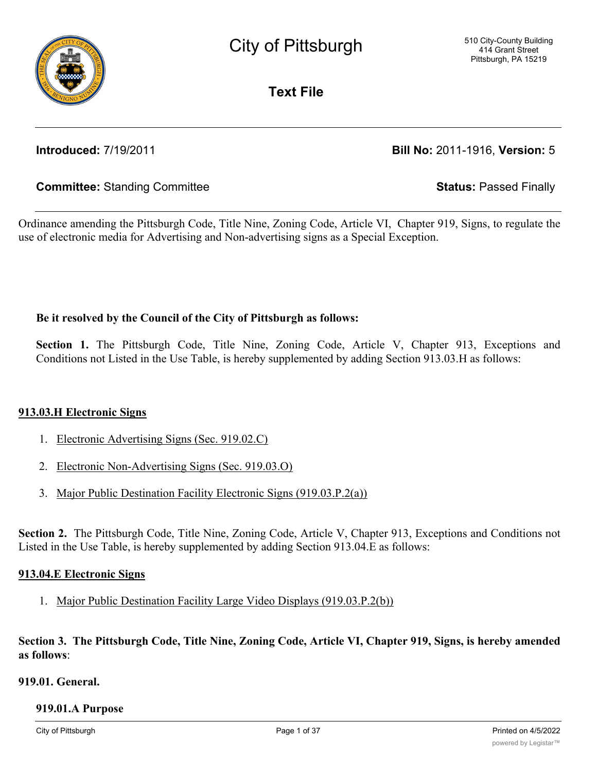

**Text File**

# **Introduced:** 7/19/2011 **Bill No:** 2011-1916, **Version:** 5

# **Committee:** Standing Committee **Status:** Passed Finally

Ordinance amending the Pittsburgh Code, Title Nine, Zoning Code, Article VI, Chapter 919, Signs, to regulate the use of electronic media for Advertising and Non-advertising signs as a Special Exception.

# **Be it resolved by the Council of the City of Pittsburgh as follows:**

**Section 1.** The Pittsburgh Code, Title Nine, Zoning Code, Article V, Chapter 913, Exceptions and Conditions not Listed in the Use Table, is hereby supplemented by adding Section 913.03.H as follows:

# **913.03.H Electronic Signs**

- 1. Electronic Advertising Signs (Sec. 919.02.C)
- 2. Electronic Non-Advertising Signs (Sec. 919.03.O)
- 3. Major Public Destination Facility Electronic Signs (919.03.P.2(a))

**Section 2.** The Pittsburgh Code, Title Nine, Zoning Code, Article V, Chapter 913, Exceptions and Conditions not Listed in the Use Table, is hereby supplemented by adding Section 913.04.E as follows:

## **913.04.E Electronic Signs**

1. Major Public Destination Facility Large Video Displays (919.03.P.2(b))

Section 3. The Pittsburgh Code, Title Nine, Zoning Code, Article VI, Chapter 919, Signs, is hereby amended **as follows**:

# **919.01. General.**

#### **919.01.A Purpose**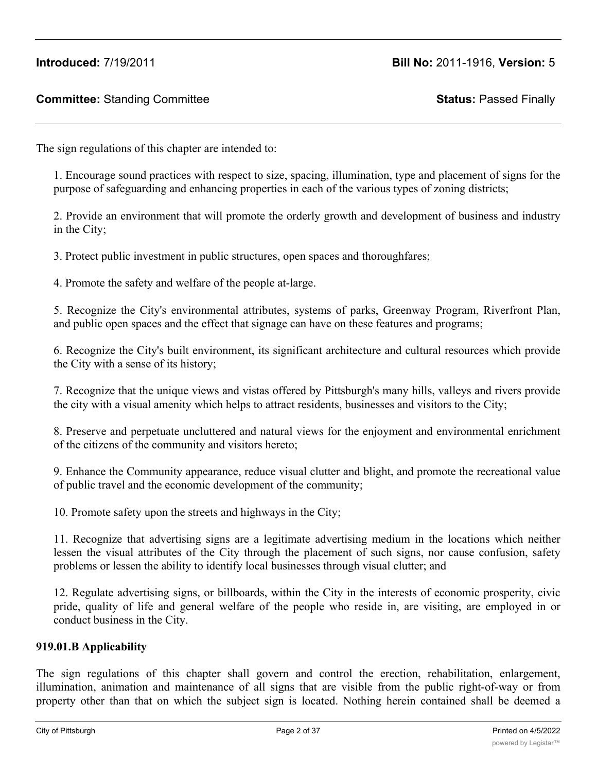The sign regulations of this chapter are intended to:

1. Encourage sound practices with respect to size, spacing, illumination, type and placement of signs for the purpose of safeguarding and enhancing properties in each of the various types of zoning districts;

2. Provide an environment that will promote the orderly growth and development of business and industry in the City;

3. Protect public investment in public structures, open spaces and thoroughfares;

4. Promote the safety and welfare of the people at-large.

5. Recognize the City's environmental attributes, systems of parks, Greenway Program, Riverfront Plan, and public open spaces and the effect that signage can have on these features and programs;

6. Recognize the City's built environment, its significant architecture and cultural resources which provide the City with a sense of its history;

7. Recognize that the unique views and vistas offered by Pittsburgh's many hills, valleys and rivers provide the city with a visual amenity which helps to attract residents, businesses and visitors to the City;

8. Preserve and perpetuate uncluttered and natural views for the enjoyment and environmental enrichment of the citizens of the community and visitors hereto;

9. Enhance the Community appearance, reduce visual clutter and blight, and promote the recreational value of public travel and the economic development of the community;

10. Promote safety upon the streets and highways in the City;

11. Recognize that advertising signs are a legitimate advertising medium in the locations which neither lessen the visual attributes of the City through the placement of such signs, nor cause confusion, safety problems or lessen the ability to identify local businesses through visual clutter; and

12. Regulate advertising signs, or billboards, within the City in the interests of economic prosperity, civic pride, quality of life and general welfare of the people who reside in, are visiting, are employed in or conduct business in the City.

## **919.01.B Applicability**

The sign regulations of this chapter shall govern and control the erection, rehabilitation, enlargement, illumination, animation and maintenance of all signs that are visible from the public right-of-way or from property other than that on which the subject sign is located. Nothing herein contained shall be deemed a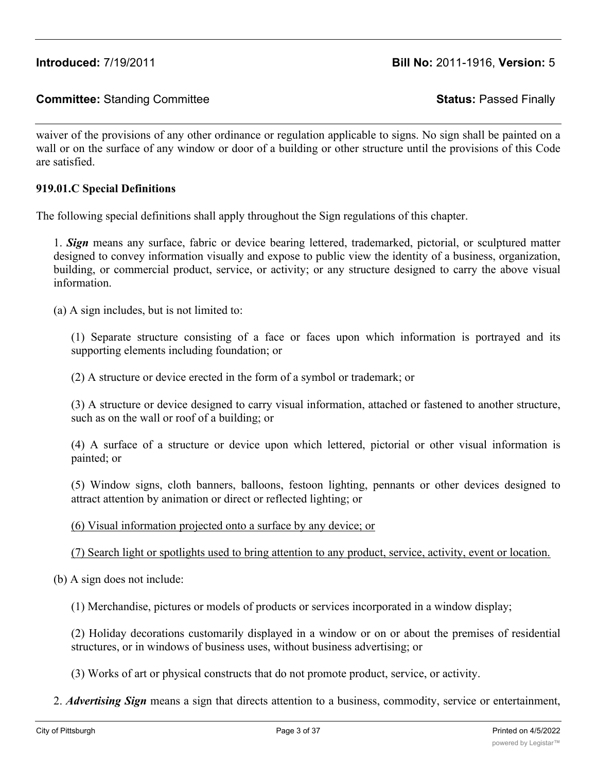waiver of the provisions of any other ordinance or regulation applicable to signs. No sign shall be painted on a wall or on the surface of any window or door of a building or other structure until the provisions of this Code are satisfied.

## **919.01.C Special Definitions**

The following special definitions shall apply throughout the Sign regulations of this chapter.

1. *Sign* means any surface, fabric or device bearing lettered, trademarked, pictorial, or sculptured matter designed to convey information visually and expose to public view the identity of a business, organization, building, or commercial product, service, or activity; or any structure designed to carry the above visual information.

(a) A sign includes, but is not limited to:

(1) Separate structure consisting of a face or faces upon which information is portrayed and its supporting elements including foundation; or

(2) A structure or device erected in the form of a symbol or trademark; or

(3) A structure or device designed to carry visual information, attached or fastened to another structure, such as on the wall or roof of a building; or

(4) A surface of a structure or device upon which lettered, pictorial or other visual information is painted; or

(5) Window signs, cloth banners, balloons, festoon lighting, pennants or other devices designed to attract attention by animation or direct or reflected lighting; or

(6) Visual information projected onto a surface by any device; or

(7) Search light or spotlights used to bring attention to any product, service, activity, event or location.

(b) A sign does not include:

(1) Merchandise, pictures or models of products or services incorporated in a window display;

(2) Holiday decorations customarily displayed in a window or on or about the premises of residential structures, or in windows of business uses, without business advertising; or

(3) Works of art or physical constructs that do not promote product, service, or activity.

2. *Advertising Sign* means a sign that directs attention to a business, commodity, service or entertainment,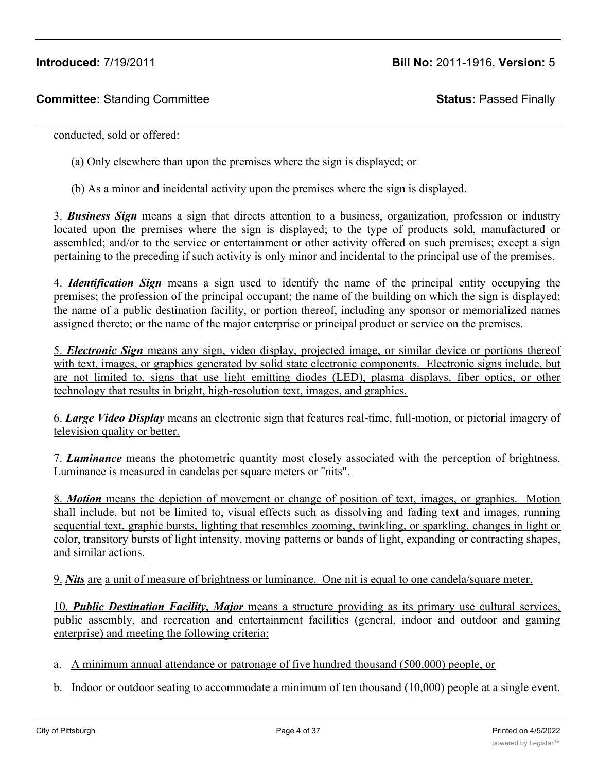conducted, sold or offered:

(a) Only elsewhere than upon the premises where the sign is displayed; or

(b) As a minor and incidental activity upon the premises where the sign is displayed.

3. *Business Sign* means a sign that directs attention to a business, organization, profession or industry located upon the premises where the sign is displayed; to the type of products sold, manufactured or assembled; and/or to the service or entertainment or other activity offered on such premises; except a sign pertaining to the preceding if such activity is only minor and incidental to the principal use of the premises.

4. *Identification Sign* means a sign used to identify the name of the principal entity occupying the premises; the profession of the principal occupant; the name of the building on which the sign is displayed; the name of a public destination facility, or portion thereof, including any sponsor or memorialized names assigned thereto; or the name of the major enterprise or principal product or service on the premises.

5. *Electronic Sign* means any sign, video display, projected image, or similar device or portions thereof with text, images, or graphics generated by solid state electronic components. Electronic signs include, but are not limited to, signs that use light emitting diodes (LED), plasma displays, fiber optics, or other technology that results in bright, high-resolution text, images, and graphics.

6. *Large Video Display* means an electronic sign that features real-time, full-motion, or pictorial imagery of television quality or better.

7. *Luminance* means the photometric quantity most closely associated with the perception of brightness. Luminance is measured in candelas per square meters or "nits".

8. *Motion* means the depiction of movement or change of position of text, images, or graphics. Motion shall include, but not be limited to, visual effects such as dissolving and fading text and images, running sequential text, graphic bursts, lighting that resembles zooming, twinkling, or sparkling, changes in light or color, transitory bursts of light intensity, moving patterns or bands of light, expanding or contracting shapes, and similar actions.

9. *Nits* are a unit of measure of brightness or luminance. One nit is equal to one candela/square meter.

10. *Public Destination Facility, Major* means a structure providing as its primary use cultural services, public assembly, and recreation and entertainment facilities (general, indoor and outdoor and gaming enterprise) and meeting the following criteria:

- a. A minimum annual attendance or patronage of five hundred thousand (500,000) people, or
- b. Indoor or outdoor seating to accommodate a minimum of ten thousand (10,000) people at a single event.

 $H_{\rm eff}$  assembly uses, fleading uses, flex markets, temporary events, primary and secondary schools are secondary schools are secondary schools are secondary schools are secondary schools are seen as  $\sim$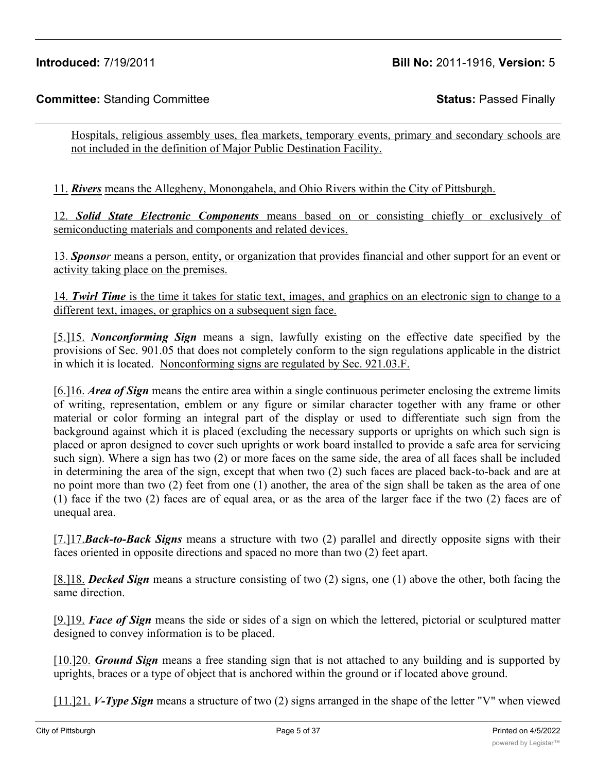Hospitals, religious assembly uses, flea markets, temporary events, primary and secondary schools are not included in the definition of Major Public Destination Facility.

11. *Rivers* means the Allegheny, Monongahela, and Ohio Rivers within the City of Pittsburgh.

12. *Solid State Electronic Components* means based on or consisting chiefly or exclusively of semiconducting materials and components and related devices.

13. *Sponsor* means a person, entity, or organization that provides financial and other support for an event or activity taking place on the premises.

14. *Twirl Time* is the time it takes for static text, images, and graphics on an electronic sign to change to a different text, images, or graphics on a subsequent sign face.

[5.]15. *Nonconforming Sign* means a sign, lawfully existing on the effective date specified by the provisions of Sec. 901.05 that does not completely conform to the sign regulations applicable in the district in which it is located. Nonconforming signs are regulated by Sec. 921.03.F.

[6.]16. *Area of Sign* means the entire area within a single continuous perimeter enclosing the extreme limits of writing, representation, emblem or any figure or similar character together with any frame or other material or color forming an integral part of the display or used to differentiate such sign from the background against which it is placed (excluding the necessary supports or uprights on which such sign is placed or apron designed to cover such uprights or work board installed to provide a safe area for servicing such sign). Where a sign has two (2) or more faces on the same side, the area of all faces shall be included in determining the area of the sign, except that when two (2) such faces are placed back-to-back and are at no point more than two (2) feet from one (1) another, the area of the sign shall be taken as the area of one (1) face if the two (2) faces are of equal area, or as the area of the larger face if the two (2) faces are of unequal area.

[7.]17.*Back-to-Back Signs* means a structure with two (2) parallel and directly opposite signs with their faces oriented in opposite directions and spaced no more than two (2) feet apart.

[8.]18. *Decked Sign* means a structure consisting of two (2) signs, one (1) above the other, both facing the same direction.

[9.]19. *Face of Sign* means the side or sides of a sign on which the lettered, pictorial or sculptured matter designed to convey information is to be placed.

[10.]20. *Ground Sign* means a free standing sign that is not attached to any building and is supported by uprights, braces or a type of object that is anchored within the ground or if located above ground.

[11.]21. *V-Type Sign* means a structure of two (2) signs arranged in the shape of the letter "V" when viewed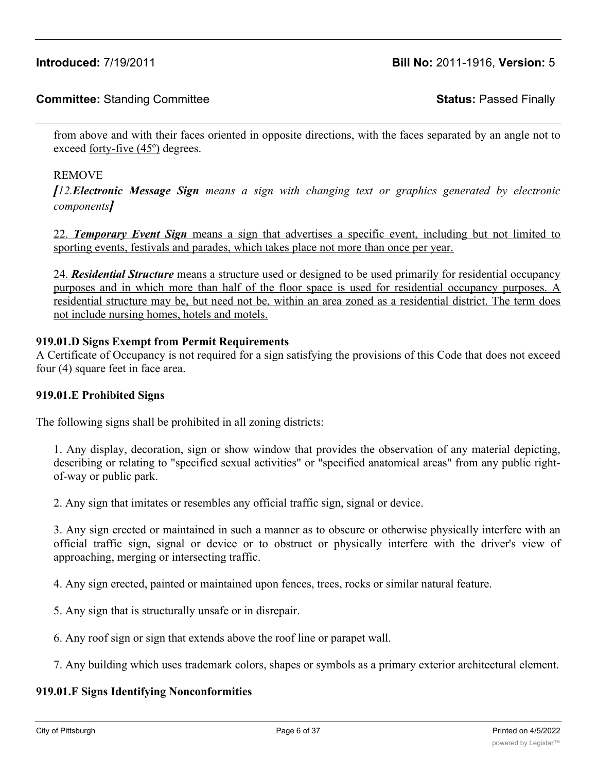# **Committee:** Standing Committee **Status:** Passed Finally

from above and with their faces oriented in opposite directions, with the faces separated by an angle not to exceed forty-five (45º) degrees.

#### REMOVE

*[12.Electronic Message Sign means a sign with changing text or graphics generated by electronic components]*

22. *Temporary Event Sign* means a sign that advertises a specific event, including but not limited to sporting events, festivals and parades, which takes place not more than once per year.

24. *Residential Structure* means a structure used or designed to be used primarily for residential occupancy purposes and in which more than half of the floor space is used for residential occupancy purposes. A residential structure may be, but need not be, within an area zoned as a residential district. The term does not include nursing homes, hotels and motels.

#### **919.01.D Signs Exempt from Permit Requirements**

A Certificate of Occupancy is not required for a sign satisfying the provisions of this Code that does not exceed four (4) square feet in face area.

#### **919.01.E Prohibited Signs**

The following signs shall be prohibited in all zoning districts:

1. Any display, decoration, sign or show window that provides the observation of any material depicting, describing or relating to "specified sexual activities" or "specified anatomical areas" from any public rightof-way or public park.

2. Any sign that imitates or resembles any official traffic sign, signal or device.

3. Any sign erected or maintained in such a manner as to obscure or otherwise physically interfere with an official traffic sign, signal or device or to obstruct or physically interfere with the driver's view of approaching, merging or intersecting traffic.

4. Any sign erected, painted or maintained upon fences, trees, rocks or similar natural feature.

5. Any sign that is structurally unsafe or in disrepair.

6. Any roof sign or sign that extends above the roof line or parapet wall.

7. Any building which uses trademark colors, shapes or symbols as a primary exterior architectural element.

## **919.01.F Signs Identifying Nonconformities**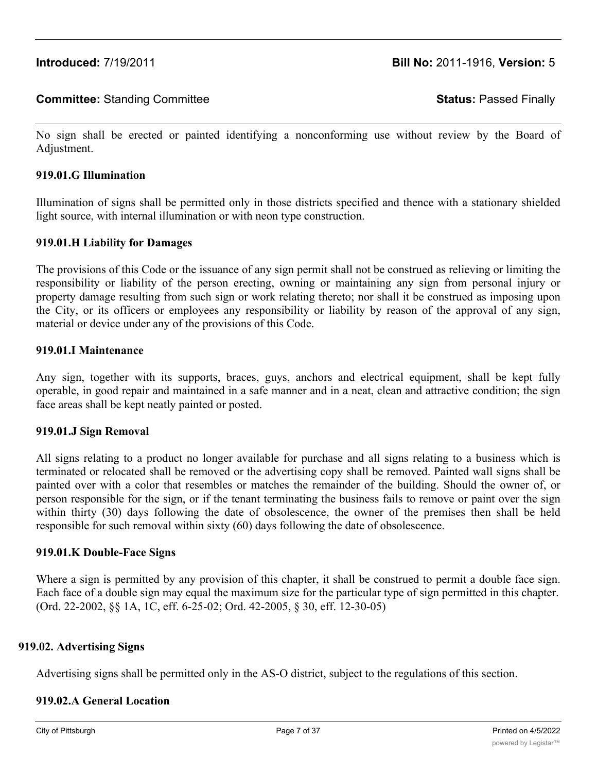No sign shall be erected or painted identifying a nonconforming use without review by the Board of Adjustment.

#### **919.01.G Illumination**

Illumination of signs shall be permitted only in those districts specified and thence with a stationary shielded light source, with internal illumination or with neon type construction.

#### **919.01.H Liability for Damages**

The provisions of this Code or the issuance of any sign permit shall not be construed as relieving or limiting the responsibility or liability of the person erecting, owning or maintaining any sign from personal injury or property damage resulting from such sign or work relating thereto; nor shall it be construed as imposing upon the City, or its officers or employees any responsibility or liability by reason of the approval of any sign, material or device under any of the provisions of this Code.

#### **919.01.I Maintenance**

Any sign, together with its supports, braces, guys, anchors and electrical equipment, shall be kept fully operable, in good repair and maintained in a safe manner and in a neat, clean and attractive condition; the sign face areas shall be kept neatly painted or posted.

#### **919.01.J Sign Removal**

All signs relating to a product no longer available for purchase and all signs relating to a business which is terminated or relocated shall be removed or the advertising copy shall be removed. Painted wall signs shall be painted over with a color that resembles or matches the remainder of the building. Should the owner of, or person responsible for the sign, or if the tenant terminating the business fails to remove or paint over the sign within thirty (30) days following the date of obsolescence, the owner of the premises then shall be held responsible for such removal within sixty (60) days following the date of obsolescence.

## **919.01.K Double-Face Signs**

Where a sign is permitted by any provision of this chapter, it shall be construed to permit a double face sign. Each face of a double sign may equal the maximum size for the particular type of sign permitted in this chapter. (Ord. 22-2002, §§ 1A, 1C, eff. 6-25-02; Ord. 42-2005, § 30, eff. 12-30-05)

#### **919.02. Advertising Signs**

Advertising signs shall be permitted only in the AS-O district, subject to the regulations of this section.

## **919.02.A General Location**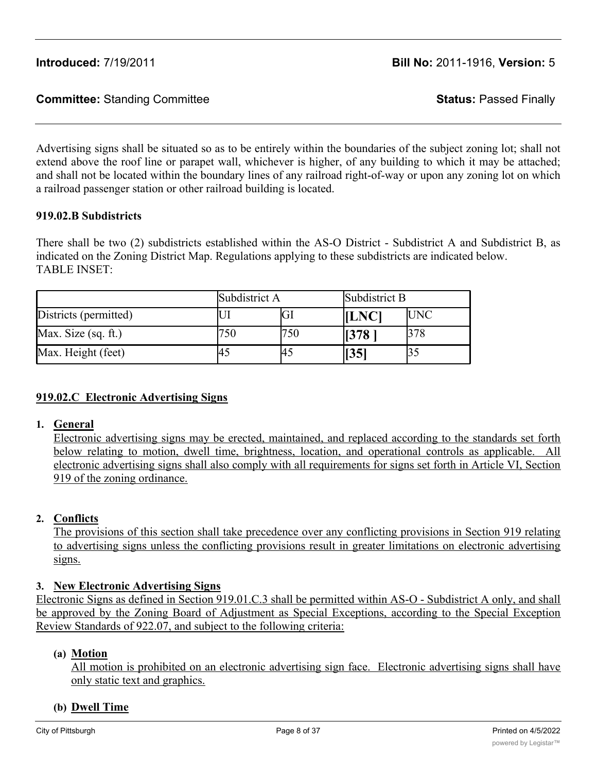Advertising signs shall be situated so as to be entirely within the boundaries of the subject zoning lot; shall not extend above the roof line or parapet wall, whichever is higher, of any building to which it may be attached; and shall not be located within the boundary lines of any railroad right-of-way or upon any zoning lot on which a railroad passenger station or other railroad building is located.

# **919.02.B Subdistricts**

There shall be two (2) subdistricts established within the AS-O District - Subdistrict A and Subdistrict B, as indicated on the Zoning District Map. Regulations applying to these subdistricts are indicated below. TABLE INSET:

|                       | Subdistrict A |     | Subdistrict B |            |
|-----------------------|---------------|-----|---------------|------------|
| Districts (permitted) |               |     | <b>[LNC]</b>  | <b>UNC</b> |
| Max. Size (sq. ft.)   |               | 750 | 1378          |            |
| Max. Height (feet)    | 45            |     | 1351          |            |

# **919.02.C Electronic Advertising Signs**

## **1. General**

Electronic advertising signs may be erected, maintained, and replaced according to the standards set forth below relating to motion, dwell time, brightness, location, and operational controls as applicable. All electronic advertising signs shall also comply with all requirements for signs set forth in Article VI, Section 919 of the zoning ordinance.

## **2. Conflicts**

The provisions of this section shall take precedence over any conflicting provisions in Section 919 relating to advertising signs unless the conflicting provisions result in greater limitations on electronic advertising signs.

## **3. New Electronic Advertising Signs**

Electronic Signs as defined in Section 919.01.C.3 shall be permitted within AS-O - Subdistrict A only, and shall be approved by the Zoning Board of Adjustment as Special Exceptions, according to the Special Exception Review Standards of 922.07, and subject to the following criteria:

## **(a) Motion**

All motion is prohibited on an electronic advertising sign face. Electronic advertising signs shall have only static text and graphics.

## **(b) Dwell Time**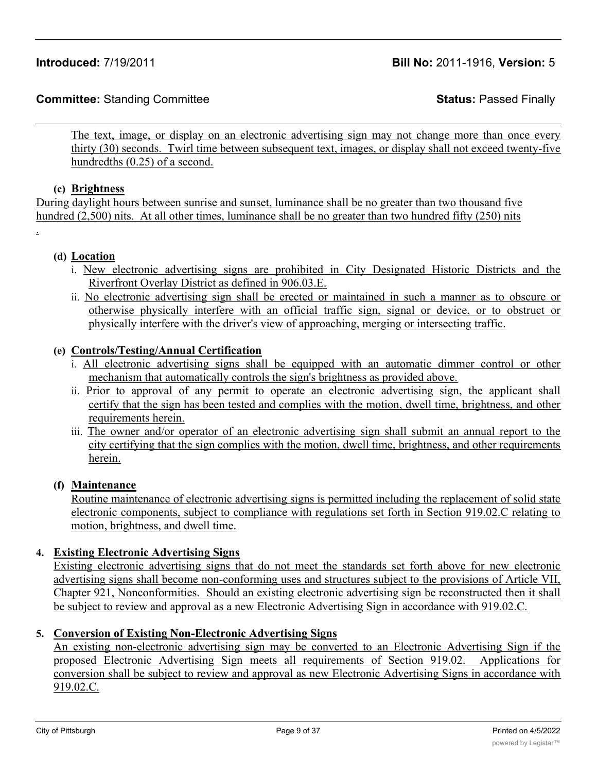The text, image, or display on an electronic advertising sign may not change more than once every thirty (30) seconds. Twirl time between subsequent text, images, or display shall not exceed twenty-five hundredths (0.25) of a second.

#### **(c) Brightness**

During daylight hours between sunrise and sunset, luminance shall be no greater than two thousand five hundred (2,500) nits. At all other times, luminance shall be no greater than two hundred fifty (250) nits

.

## **(d) Location**

- i. New electronic advertising signs are prohibited in City Designated Historic Districts and the Riverfront Overlay District as defined in 906.03.E.
- ii. No electronic advertising sign shall be erected or maintained in such a manner as to obscure or otherwise physically interfere with an official traffic sign, signal or device, or to obstruct or physically interfere with the driver's view of approaching, merging or intersecting traffic.

# **(e) Controls/Testing/Annual Certification**

- i. All electronic advertising signs shall be equipped with an automatic dimmer control or other mechanism that automatically controls the sign's brightness as provided above.
- ii. Prior to approval of any permit to operate an electronic advertising sign, the applicant shall certify that the sign has been tested and complies with the motion, dwell time, brightness, and other requirements herein.
- iii. The owner and/or operator of an electronic advertising sign shall submit an annual report to the city certifying that the sign complies with the motion, dwell time, brightness, and other requirements herein.

## **(f) Maintenance**

Routine maintenance of electronic advertising signs is permitted including the replacement of solid state electronic components, subject to compliance with regulations set forth in Section 919.02.C relating to motion, brightness, and dwell time.

## **4. Existing Electronic Advertising Signs**

Existing electronic advertising signs that do not meet the standards set forth above for new electronic advertising signs shall become non-conforming uses and structures subject to the provisions of Article VII, Chapter 921, Nonconformities. Should an existing electronic advertising sign be reconstructed then it shall be subject to review and approval as a new Electronic Advertising Sign in accordance with 919.02.C.

## **5. Conversion of Existing Non-Electronic Advertising Signs**

An existing non-electronic advertising sign may be converted to an Electronic Advertising Sign if the proposed Electronic Advertising Sign meets all requirements of Section 919.02. Applications for conversion shall be subject to review and approval as new Electronic Advertising Signs in accordance with 919.02.C.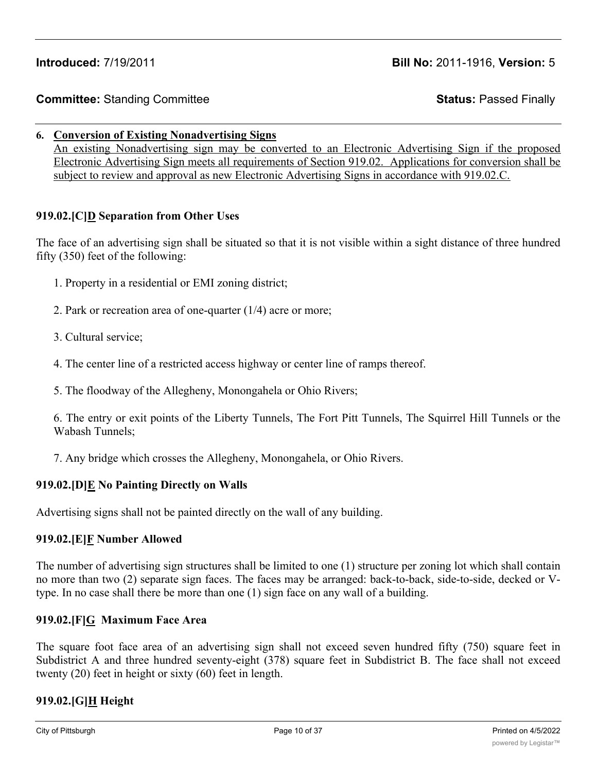#### **6. Conversion of Existing Nonadvertising Signs**

An existing Nonadvertising sign may be converted to an Electronic Advertising Sign if the proposed Electronic Advertising Sign meets all requirements of Section 919.02. Applications for conversion shall be subject to review and approval as new Electronic Advertising Signs in accordance with 919.02.C.

# **919.02.[C]D Separation from Other Uses**

The face of an advertising sign shall be situated so that it is not visible within a sight distance of three hundred fifty (350) feet of the following:

- 1. Property in a residential or EMI zoning district;
- 2. Park or recreation area of one-quarter (1/4) acre or more;
- 3. Cultural service;
- 4. The center line of a restricted access highway or center line of ramps thereof.
- 5. The floodway of the Allegheny, Monongahela or Ohio Rivers;

6. The entry or exit points of the Liberty Tunnels, The Fort Pitt Tunnels, The Squirrel Hill Tunnels or the Wabash Tunnels;

7. Any bridge which crosses the Allegheny, Monongahela, or Ohio Rivers.

# **919.02.[D]E No Painting Directly on Walls**

Advertising signs shall not be painted directly on the wall of any building.

## **919.02.[E]F Number Allowed**

The number of advertising sign structures shall be limited to one (1) structure per zoning lot which shall contain no more than two (2) separate sign faces. The faces may be arranged: back-to-back, side-to-side, decked or Vtype. In no case shall there be more than one (1) sign face on any wall of a building.

## **919.02.[F]G Maximum Face Area**

The square foot face area of an advertising sign shall not exceed seven hundred fifty (750) square feet in Subdistrict A and three hundred seventy-eight (378) square feet in Subdistrict B. The face shall not exceed twenty (20) feet in height or sixty (60) feet in length.

# **919.02.[G]H Height**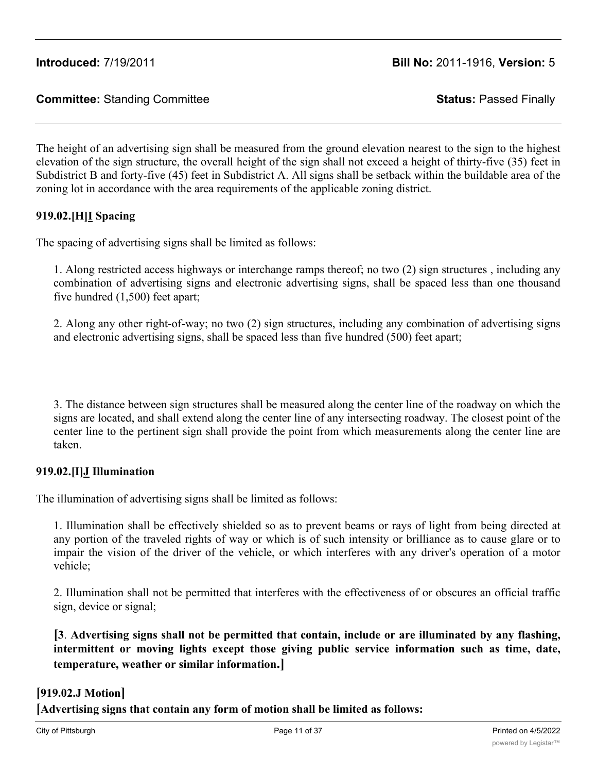The height of an advertising sign shall be measured from the ground elevation nearest to the sign to the highest elevation of the sign structure, the overall height of the sign shall not exceed a height of thirty-five (35) feet in Subdistrict B and forty-five (45) feet in Subdistrict A. All signs shall be setback within the buildable area of the zoning lot in accordance with the area requirements of the applicable zoning district.

# **919.02.[H]I Spacing**

The spacing of advertising signs shall be limited as follows:

1. Along restricted access highways or interchange ramps thereof; no two (2) sign structures , including any combination of advertising signs and electronic advertising signs, shall be spaced less than one thousand five hundred (1,500) feet apart;

2. Along any other right-of-way; no two (2) sign structures, including any combination of advertising signs and electronic advertising signs, shall be spaced less than five hundred (500) feet apart;

3. The distance between sign structures shall be measured along the center line of the roadway on which the signs are located, and shall extend along the center line of any intersecting roadway. The closest point of the center line to the pertinent sign shall provide the point from which measurements along the center line are taken.

## **919.02.[I]J Illumination**

The illumination of advertising signs shall be limited as follows:

1. Illumination shall be effectively shielded so as to prevent beams or rays of light from being directed at any portion of the traveled rights of way or which is of such intensity or brilliance as to cause glare or to impair the vision of the driver of the vehicle, or which interferes with any driver's operation of a motor vehicle;

2. Illumination shall not be permitted that interferes with the effectiveness of or obscures an official traffic sign, device or signal;

**[3**. **Advertising signs shall not be permitted that contain, include or are illuminated by any flashing, intermittent or moving lights except those giving public service information such as time, date, temperature, weather or similar information.]**

# **[919.02.J Motion]**

**[Advertising signs that contain any form of motion shall be limited as follows:**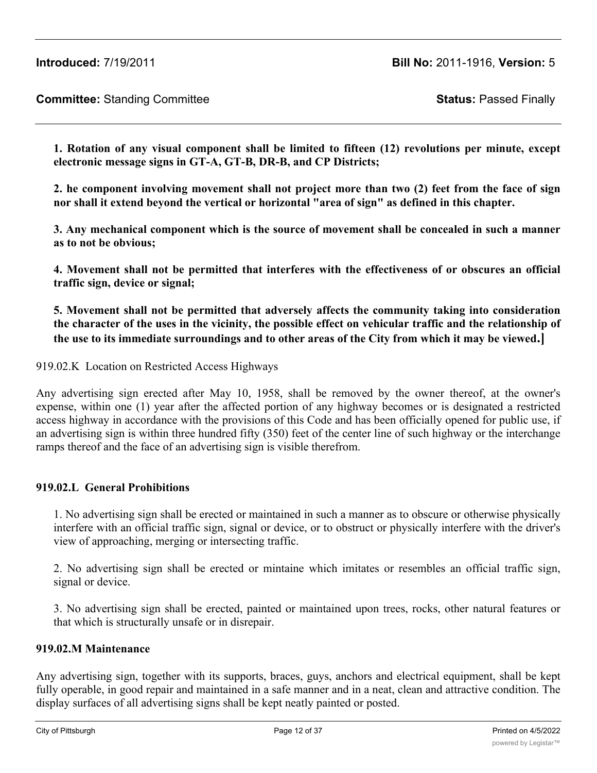# **Committee:** Standing Committee **Status:** Passed Finally

**1. Rotation of any visual component shall be limited to fifteen (12) revolutions per minute, except electronic message signs in GT-A, GT-B, DR-B, and CP Districts;**

**2. he component involving movement shall not project more than two (2) feet from the face of sign nor shall it extend beyond the vertical or horizontal "area of sign" as defined in this chapter.**

**3. Any mechanical component which is the source of movement shall be concealed in such a manner as to not be obvious;**

**4. Movement shall not be permitted that interferes with the effectiveness of or obscures an official traffic sign, device or signal;**

**5. Movement shall not be permitted that adversely affects the community taking into consideration** the character of the uses in the vicinity, the possible effect on vehicular traffic and the relationship of **the use to its immediate surroundings and to other areas of the City from which it may be viewed.]**

919.02.K Location on Restricted Access Highways

Any advertising sign erected after May 10, 1958, shall be removed by the owner thereof, at the owner's expense, within one (1) year after the affected portion of any highway becomes or is designated a restricted access highway in accordance with the provisions of this Code and has been officially opened for public use, if an advertising sign is within three hundred fifty (350) feet of the center line of such highway or the interchange ramps thereof and the face of an advertising sign is visible therefrom.

## **919.02.L General Prohibitions**

1. No advertising sign shall be erected or maintained in such a manner as to obscure or otherwise physically interfere with an official traffic sign, signal or device, or to obstruct or physically interfere with the driver's view of approaching, merging or intersecting traffic.

2. No advertising sign shall be erected or mintaine which imitates or resembles an official traffic sign, signal or device.

3. No advertising sign shall be erected, painted or maintained upon trees, rocks, other natural features or that which is structurally unsafe or in disrepair.

## **919.02.M Maintenance**

Any advertising sign, together with its supports, braces, guys, anchors and electrical equipment, shall be kept fully operable, in good repair and maintained in a safe manner and in a neat, clean and attractive condition. The display surfaces of all advertising signs shall be kept neatly painted or posted.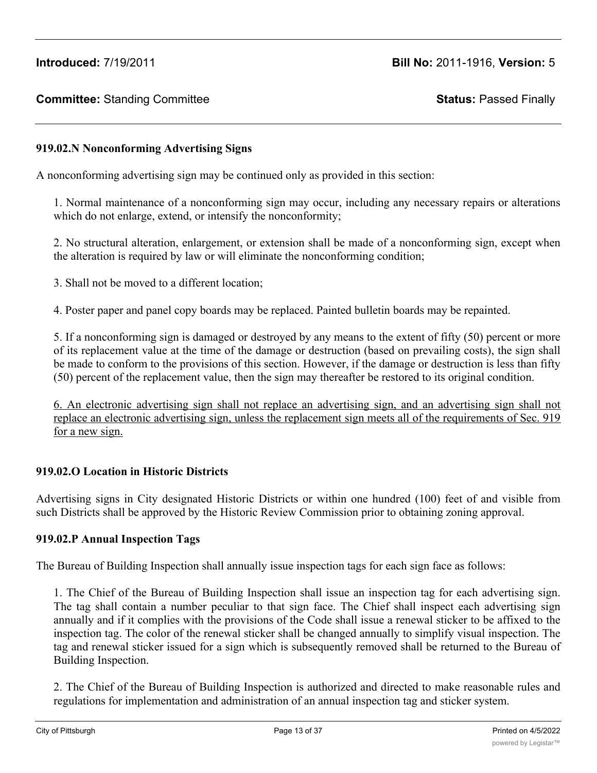# **919.02.N Nonconforming Advertising Signs**

A nonconforming advertising sign may be continued only as provided in this section:

1. Normal maintenance of a nonconforming sign may occur, including any necessary repairs or alterations which do not enlarge, extend, or intensify the nonconformity;

2. No structural alteration, enlargement, or extension shall be made of a nonconforming sign, except when the alteration is required by law or will eliminate the nonconforming condition;

3. Shall not be moved to a different location;

4. Poster paper and panel copy boards may be replaced. Painted bulletin boards may be repainted.

5. If a nonconforming sign is damaged or destroyed by any means to the extent of fifty (50) percent or more of its replacement value at the time of the damage or destruction (based on prevailing costs), the sign shall be made to conform to the provisions of this section. However, if the damage or destruction is less than fifty (50) percent of the replacement value, then the sign may thereafter be restored to its original condition.

6. An electronic advertising sign shall not replace an advertising sign, and an advertising sign shall not replace an electronic advertising sign, unless the replacement sign meets all of the requirements of Sec. 919 for a new sign.

# **919.02.O Location in Historic Districts**

Advertising signs in City designated Historic Districts or within one hundred (100) feet of and visible from such Districts shall be approved by the Historic Review Commission prior to obtaining zoning approval.

## **919.02.P Annual Inspection Tags**

The Bureau of Building Inspection shall annually issue inspection tags for each sign face as follows:

1. The Chief of the Bureau of Building Inspection shall issue an inspection tag for each advertising sign. The tag shall contain a number peculiar to that sign face. The Chief shall inspect each advertising sign annually and if it complies with the provisions of the Code shall issue a renewal sticker to be affixed to the inspection tag. The color of the renewal sticker shall be changed annually to simplify visual inspection. The tag and renewal sticker issued for a sign which is subsequently removed shall be returned to the Bureau of Building Inspection.

2. The Chief of the Bureau of Building Inspection is authorized and directed to make reasonable rules and regulations for implementation and administration of an annual inspection tag and sticker system.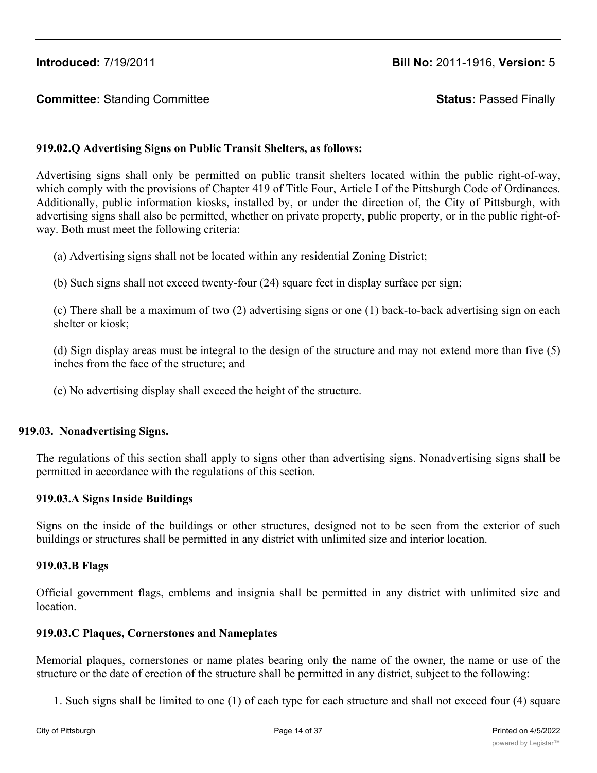# **919.02.Q Advertising Signs on Public Transit Shelters, as follows:**

Advertising signs shall only be permitted on public transit shelters located within the public right-of-way, which comply with the provisions of Chapter 419 of Title Four, Article I of the Pittsburgh Code of Ordinances. Additionally, public information kiosks, installed by, or under the direction of, the City of Pittsburgh, with advertising signs shall also be permitted, whether on private property, public property, or in the public right-ofway. Both must meet the following criteria:

(a) Advertising signs shall not be located within any residential Zoning District;

(b) Such signs shall not exceed twenty-four (24) square feet in display surface per sign;

(c) There shall be a maximum of two (2) advertising signs or one (1) back-to-back advertising sign on each shelter or kiosk;

(d) Sign display areas must be integral to the design of the structure and may not extend more than five (5) inches from the face of the structure; and

(e) No advertising display shall exceed the height of the structure.

## **919.03. Nonadvertising Signs.**

The regulations of this section shall apply to signs other than advertising signs. Nonadvertising signs shall be permitted in accordance with the regulations of this section.

#### **919.03.A Signs Inside Buildings**

Signs on the inside of the buildings or other structures, designed not to be seen from the exterior of such buildings or structures shall be permitted in any district with unlimited size and interior location.

#### **919.03.B Flags**

Official government flags, emblems and insignia shall be permitted in any district with unlimited size and location.

#### **919.03.C Plaques, Cornerstones and Nameplates**

Memorial plaques, cornerstones or name plates bearing only the name of the owner, the name or use of the structure or the date of erection of the structure shall be permitted in any district, subject to the following:

1. Such signs shall be limited to one (1) of each type for each structure and shall not exceed four (4) square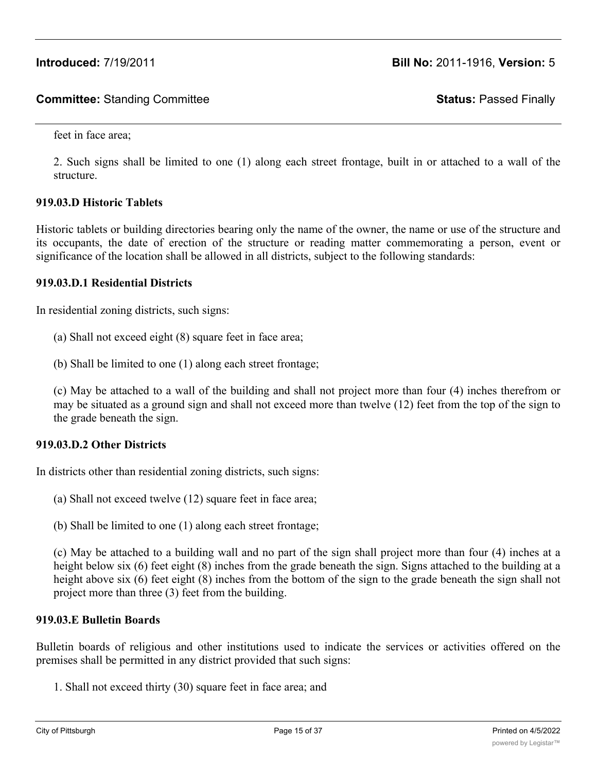feet in face area;

2. Such signs shall be limited to one (1) along each street frontage, built in or attached to a wall of the structure.

## **919.03.D Historic Tablets**

Historic tablets or building directories bearing only the name of the owner, the name or use of the structure and its occupants, the date of erection of the structure or reading matter commemorating a person, event or significance of the location shall be allowed in all districts, subject to the following standards:

## **919.03.D.1 Residential Districts**

In residential zoning districts, such signs:

- (a) Shall not exceed eight (8) square feet in face area;
- (b) Shall be limited to one (1) along each street frontage;

(c) May be attached to a wall of the building and shall not project more than four (4) inches therefrom or may be situated as a ground sign and shall not exceed more than twelve (12) feet from the top of the sign to the grade beneath the sign.

## **919.03.D.2 Other Districts**

In districts other than residential zoning districts, such signs:

- (a) Shall not exceed twelve (12) square feet in face area;
- (b) Shall be limited to one (1) along each street frontage;

(c) May be attached to a building wall and no part of the sign shall project more than four (4) inches at a height below six (6) feet eight (8) inches from the grade beneath the sign. Signs attached to the building at a height above six (6) feet eight (8) inches from the bottom of the sign to the grade beneath the sign shall not project more than three (3) feet from the building.

# **919.03.E Bulletin Boards**

Bulletin boards of religious and other institutions used to indicate the services or activities offered on the premises shall be permitted in any district provided that such signs:

1. Shall not exceed thirty (30) square feet in face area; and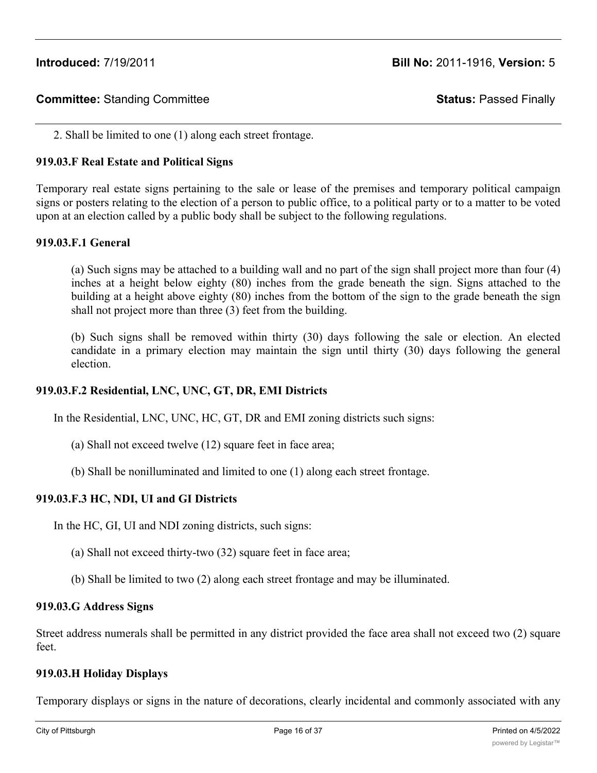2. Shall be limited to one (1) along each street frontage.

# **919.03.F Real Estate and Political Signs**

Temporary real estate signs pertaining to the sale or lease of the premises and temporary political campaign signs or posters relating to the election of a person to public office, to a political party or to a matter to be voted upon at an election called by a public body shall be subject to the following regulations.

#### **919.03.F.1 General**

(a) Such signs may be attached to a building wall and no part of the sign shall project more than four (4) inches at a height below eighty (80) inches from the grade beneath the sign. Signs attached to the building at a height above eighty (80) inches from the bottom of the sign to the grade beneath the sign shall not project more than three (3) feet from the building.

(b) Such signs shall be removed within thirty (30) days following the sale or election. An elected candidate in a primary election may maintain the sign until thirty (30) days following the general election.

## **919.03.F.2 Residential, LNC, UNC, GT, DR, EMI Districts**

In the Residential, LNC, UNC, HC, GT, DR and EMI zoning districts such signs:

- (a) Shall not exceed twelve (12) square feet in face area;
- (b) Shall be nonilluminated and limited to one (1) along each street frontage.

## **919.03.F.3 HC, NDI, UI and GI Districts**

In the HC, GI, UI and NDI zoning districts, such signs:

- (a) Shall not exceed thirty-two (32) square feet in face area;
- (b) Shall be limited to two (2) along each street frontage and may be illuminated.

#### **919.03.G Address Signs**

Street address numerals shall be permitted in any district provided the face area shall not exceed two (2) square feet.

#### **919.03.H Holiday Displays**

Temporary displays or signs in the nature of decorations, clearly incidental and commonly associated with any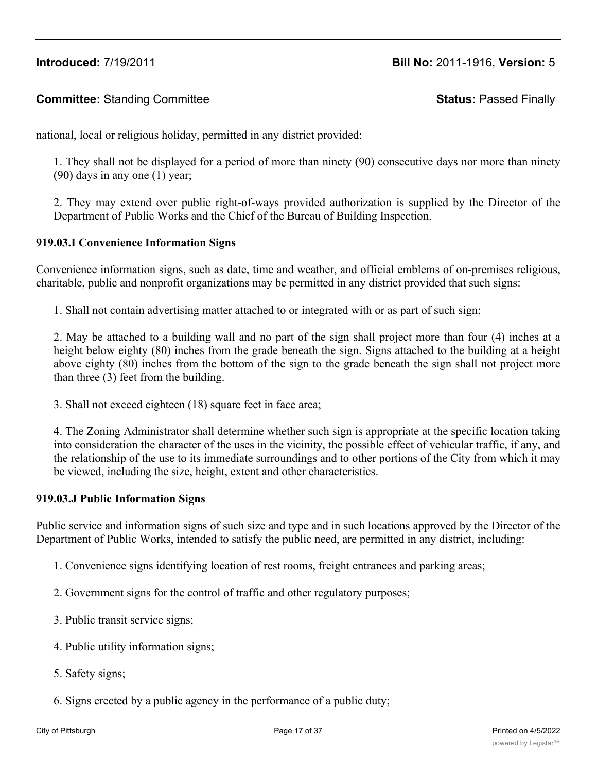national, local or religious holiday, permitted in any district provided:

1. They shall not be displayed for a period of more than ninety (90) consecutive days nor more than ninety (90) days in any one (1) year;

2. They may extend over public right-of-ways provided authorization is supplied by the Director of the Department of Public Works and the Chief of the Bureau of Building Inspection.

## **919.03.I Convenience Information Signs**

Convenience information signs, such as date, time and weather, and official emblems of on-premises religious, charitable, public and nonprofit organizations may be permitted in any district provided that such signs:

1. Shall not contain advertising matter attached to or integrated with or as part of such sign;

2. May be attached to a building wall and no part of the sign shall project more than four (4) inches at a height below eighty (80) inches from the grade beneath the sign. Signs attached to the building at a height above eighty (80) inches from the bottom of the sign to the grade beneath the sign shall not project more than three (3) feet from the building.

3. Shall not exceed eighteen (18) square feet in face area;

4. The Zoning Administrator shall determine whether such sign is appropriate at the specific location taking into consideration the character of the uses in the vicinity, the possible effect of vehicular traffic, if any, and the relationship of the use to its immediate surroundings and to other portions of the City from which it may be viewed, including the size, height, extent and other characteristics.

#### **919.03.J Public Information Signs**

Public service and information signs of such size and type and in such locations approved by the Director of the Department of Public Works, intended to satisfy the public need, are permitted in any district, including:

- 1. Convenience signs identifying location of rest rooms, freight entrances and parking areas;
- 2. Government signs for the control of traffic and other regulatory purposes;
- 3. Public transit service signs;
- 4. Public utility information signs;
- 5. Safety signs;
- 6. Signs erected by a public agency in the performance of a public duty;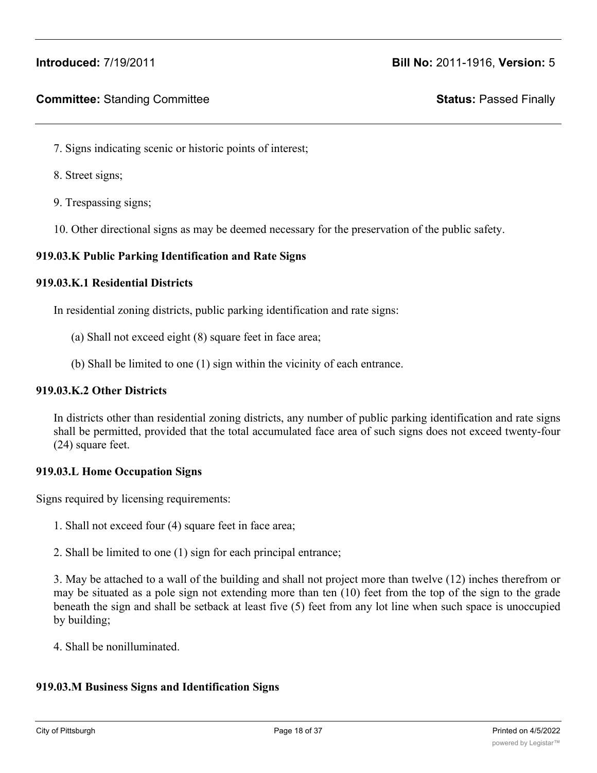# **Committee:** Standing Committee **Status:** Passed Finally

- 7. Signs indicating scenic or historic points of interest;
- 8. Street signs;
- 9. Trespassing signs;
- 10. Other directional signs as may be deemed necessary for the preservation of the public safety.

#### **919.03.K Public Parking Identification and Rate Signs**

#### **919.03.K.1 Residential Districts**

In residential zoning districts, public parking identification and rate signs:

- (a) Shall not exceed eight (8) square feet in face area;
- (b) Shall be limited to one (1) sign within the vicinity of each entrance.

#### **919.03.K.2 Other Districts**

In districts other than residential zoning districts, any number of public parking identification and rate signs shall be permitted, provided that the total accumulated face area of such signs does not exceed twenty-four (24) square feet.

#### **919.03.L Home Occupation Signs**

Signs required by licensing requirements:

- 1. Shall not exceed four (4) square feet in face area;
- 2. Shall be limited to one (1) sign for each principal entrance;

3. May be attached to a wall of the building and shall not project more than twelve (12) inches therefrom or may be situated as a pole sign not extending more than ten (10) feet from the top of the sign to the grade beneath the sign and shall be setback at least five (5) feet from any lot line when such space is unoccupied by building;

4. Shall be nonilluminated.

# **919.03.M Business Signs and Identification Signs**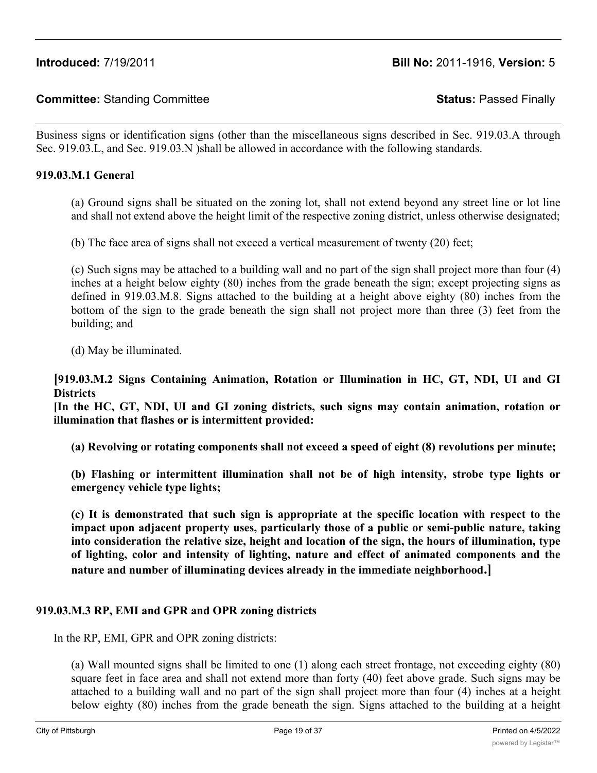Business signs or identification signs (other than the miscellaneous signs described in Sec. 919.03.A through Sec. 919.03.L, and Sec. 919.03.N )shall be allowed in accordance with the following standards.

#### **919.03.M.1 General**

(a) Ground signs shall be situated on the zoning lot, shall not extend beyond any street line or lot line and shall not extend above the height limit of the respective zoning district, unless otherwise designated;

(b) The face area of signs shall not exceed a vertical measurement of twenty (20) feet;

(c) Such signs may be attached to a building wall and no part of the sign shall project more than four (4) inches at a height below eighty (80) inches from the grade beneath the sign; except projecting signs as defined in 919.03.M.8. Signs attached to the building at a height above eighty (80) inches from the bottom of the sign to the grade beneath the sign shall not project more than three (3) feet from the building; and

(d) May be illuminated.

**[919.03.M.2 Signs Containing Animation, Rotation or Illumination in HC, GT, NDI, UI and GI Districts**

**[In the HC, GT, NDI, UI and GI zoning districts, such signs may contain animation, rotation or illumination that flashes or is intermittent provided:**

**(a) Revolving or rotating components shall not exceed a speed of eight (8) revolutions per minute;**

**(b) Flashing or intermittent illumination shall not be of high intensity, strobe type lights or emergency vehicle type lights;**

**(c) It is demonstrated that such sign is appropriate at the specific location with respect to the impact upon adjacent property uses, particularly those of a public or semi-public nature, taking into consideration the relative size, height and location of the sign, the hours of illumination, type of lighting, color and intensity of lighting, nature and effect of animated components and the nature and number of illuminating devices already in the immediate neighborhood.]**

## **919.03.M.3 RP, EMI and GPR and OPR zoning districts**

In the RP, EMI, GPR and OPR zoning districts:

(a) Wall mounted signs shall be limited to one (1) along each street frontage, not exceeding eighty (80) square feet in face area and shall not extend more than forty (40) feet above grade. Such signs may be attached to a building wall and no part of the sign shall project more than four (4) inches at a height below eighty (80) inches from the grade beneath the sign. Signs attached to the building at a height

above eighty (80) inches from the bottom of the sign to the sign to the grade beneath the sign shall not project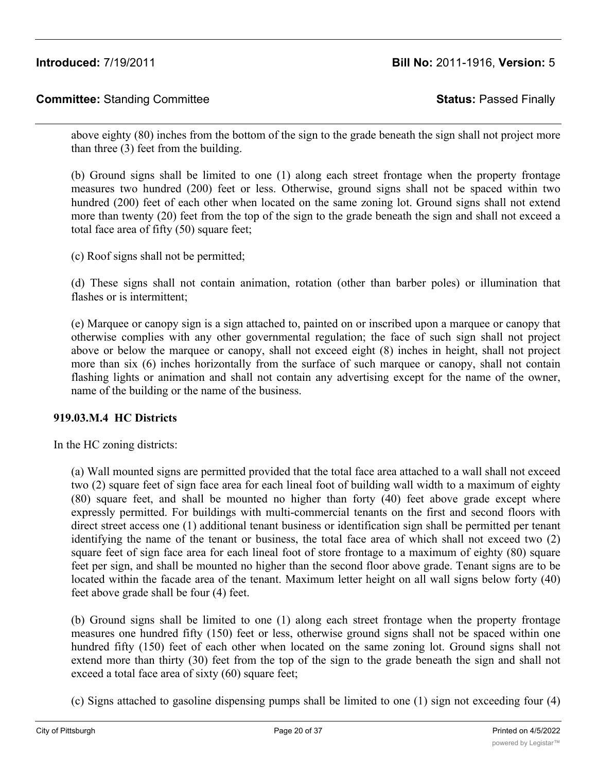above eighty (80) inches from the bottom of the sign to the grade beneath the sign shall not project more than three (3) feet from the building.

(b) Ground signs shall be limited to one (1) along each street frontage when the property frontage measures two hundred (200) feet or less. Otherwise, ground signs shall not be spaced within two hundred (200) feet of each other when located on the same zoning lot. Ground signs shall not extend more than twenty (20) feet from the top of the sign to the grade beneath the sign and shall not exceed a total face area of fifty (50) square feet;

(c) Roof signs shall not be permitted;

(d) These signs shall not contain animation, rotation (other than barber poles) or illumination that flashes or is intermittent:

(e) Marquee or canopy sign is a sign attached to, painted on or inscribed upon a marquee or canopy that otherwise complies with any other governmental regulation; the face of such sign shall not project above or below the marquee or canopy, shall not exceed eight (8) inches in height, shall not project more than six (6) inches horizontally from the surface of such marquee or canopy, shall not contain flashing lights or animation and shall not contain any advertising except for the name of the owner, name of the building or the name of the business.

# **919.03.M.4 HC Districts**

In the HC zoning districts:

(a) Wall mounted signs are permitted provided that the total face area attached to a wall shall not exceed two (2) square feet of sign face area for each lineal foot of building wall width to a maximum of eighty (80) square feet, and shall be mounted no higher than forty (40) feet above grade except where expressly permitted. For buildings with multi-commercial tenants on the first and second floors with direct street access one (1) additional tenant business or identification sign shall be permitted per tenant identifying the name of the tenant or business, the total face area of which shall not exceed two (2) square feet of sign face area for each lineal foot of store frontage to a maximum of eighty (80) square feet per sign, and shall be mounted no higher than the second floor above grade. Tenant signs are to be located within the facade area of the tenant. Maximum letter height on all wall signs below forty (40) feet above grade shall be four (4) feet.

(b) Ground signs shall be limited to one (1) along each street frontage when the property frontage measures one hundred fifty (150) feet or less, otherwise ground signs shall not be spaced within one hundred fifty (150) feet of each other when located on the same zoning lot. Ground signs shall not extend more than thirty (30) feet from the top of the sign to the grade beneath the sign and shall not exceed a total face area of sixty (60) square feet;

(c) Signs attached to gasoline dispensing pumps shall be limited to one (1) sign not exceeding four (4)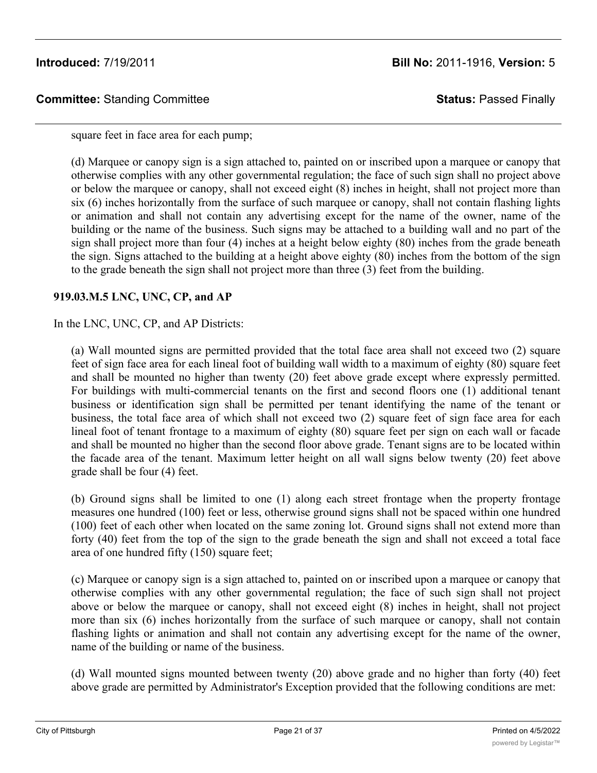square feet in face area for each pump;

(d) Marquee or canopy sign is a sign attached to, painted on or inscribed upon a marquee or canopy that otherwise complies with any other governmental regulation; the face of such sign shall no project above or below the marquee or canopy, shall not exceed eight (8) inches in height, shall not project more than six (6) inches horizontally from the surface of such marquee or canopy, shall not contain flashing lights or animation and shall not contain any advertising except for the name of the owner, name of the building or the name of the business. Such signs may be attached to a building wall and no part of the sign shall project more than four (4) inches at a height below eighty (80) inches from the grade beneath the sign. Signs attached to the building at a height above eighty (80) inches from the bottom of the sign to the grade beneath the sign shall not project more than three (3) feet from the building.

# **919.03.M.5 LNC, UNC, CP, and AP**

In the LNC, UNC, CP, and AP Districts:

(a) Wall mounted signs are permitted provided that the total face area shall not exceed two (2) square feet of sign face area for each lineal foot of building wall width to a maximum of eighty (80) square feet and shall be mounted no higher than twenty (20) feet above grade except where expressly permitted. For buildings with multi-commercial tenants on the first and second floors one (1) additional tenant business or identification sign shall be permitted per tenant identifying the name of the tenant or business, the total face area of which shall not exceed two (2) square feet of sign face area for each lineal foot of tenant frontage to a maximum of eighty (80) square feet per sign on each wall or facade and shall be mounted no higher than the second floor above grade. Tenant signs are to be located within the facade area of the tenant. Maximum letter height on all wall signs below twenty (20) feet above grade shall be four (4) feet.

(b) Ground signs shall be limited to one (1) along each street frontage when the property frontage measures one hundred (100) feet or less, otherwise ground signs shall not be spaced within one hundred (100) feet of each other when located on the same zoning lot. Ground signs shall not extend more than forty (40) feet from the top of the sign to the grade beneath the sign and shall not exceed a total face area of one hundred fifty (150) square feet;

(c) Marquee or canopy sign is a sign attached to, painted on or inscribed upon a marquee or canopy that otherwise complies with any other governmental regulation; the face of such sign shall not project above or below the marquee or canopy, shall not exceed eight (8) inches in height, shall not project more than six (6) inches horizontally from the surface of such marquee or canopy, shall not contain flashing lights or animation and shall not contain any advertising except for the name of the owner, name of the building or name of the business.

(d) Wall mounted signs mounted between twenty (20) above grade and no higher than forty (40) feet above grade are permitted by Administrator's Exception provided that the following conditions are met: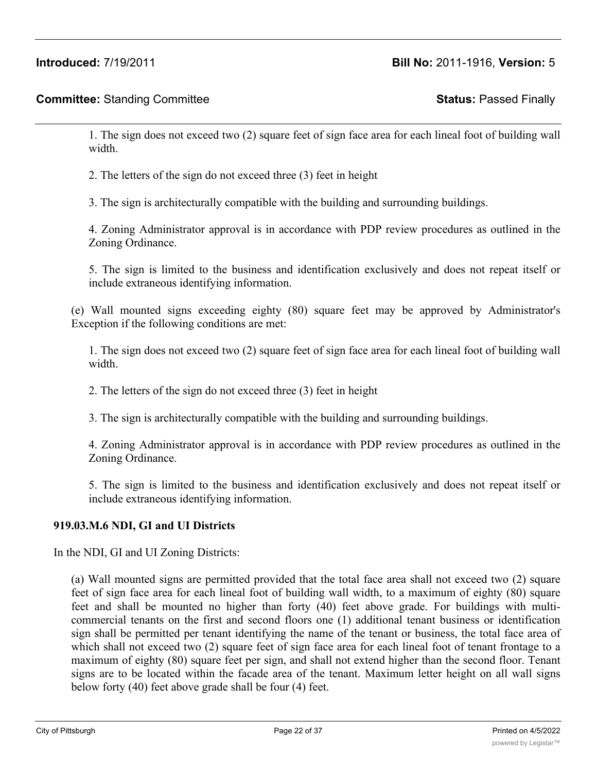1. The sign does not exceed two (2) square feet of sign face area for each lineal foot of building wall width.

2. The letters of the sign do not exceed three (3) feet in height

3. The sign is architecturally compatible with the building and surrounding buildings.

4. Zoning Administrator approval is in accordance with PDP review procedures as outlined in the Zoning Ordinance.

5. The sign is limited to the business and identification exclusively and does not repeat itself or include extraneous identifying information.

(e) Wall mounted signs exceeding eighty (80) square feet may be approved by Administrator's Exception if the following conditions are met:

1. The sign does not exceed two (2) square feet of sign face area for each lineal foot of building wall width.

2. The letters of the sign do not exceed three (3) feet in height

3. The sign is architecturally compatible with the building and surrounding buildings.

4. Zoning Administrator approval is in accordance with PDP review procedures as outlined in the Zoning Ordinance.

5. The sign is limited to the business and identification exclusively and does not repeat itself or include extraneous identifying information.

# **919.03.M.6 NDI, GI and UI Districts**

In the NDI, GI and UI Zoning Districts:

(a) Wall mounted signs are permitted provided that the total face area shall not exceed two (2) square feet of sign face area for each lineal foot of building wall width, to a maximum of eighty (80) square feet and shall be mounted no higher than forty (40) feet above grade. For buildings with multicommercial tenants on the first and second floors one (1) additional tenant business or identification sign shall be permitted per tenant identifying the name of the tenant or business, the total face area of which shall not exceed two (2) square feet of sign face area for each lineal foot of tenant frontage to a maximum of eighty (80) square feet per sign, and shall not extend higher than the second floor. Tenant signs are to be located within the facade area of the tenant. Maximum letter height on all wall signs below forty (40) feet above grade shall be four (4) feet.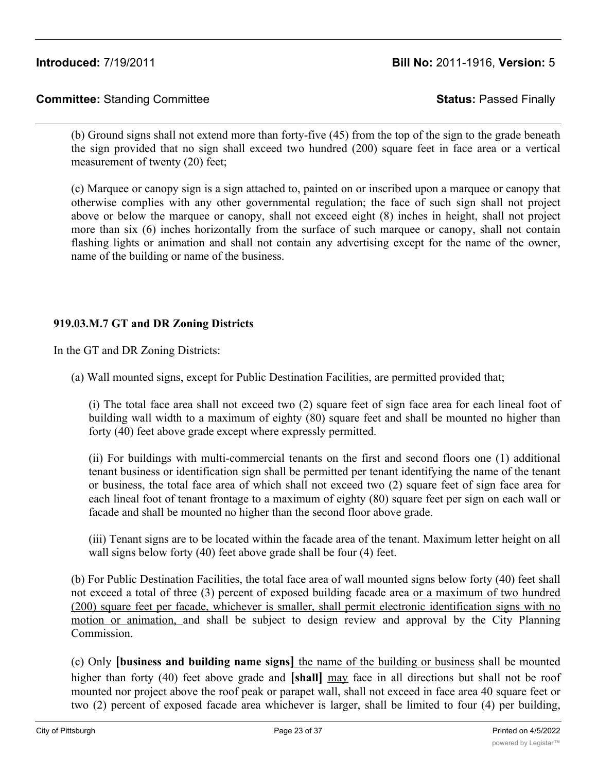(b) Ground signs shall not extend more than forty-five (45) from the top of the sign to the grade beneath the sign provided that no sign shall exceed two hundred (200) square feet in face area or a vertical measurement of twenty (20) feet;

(c) Marquee or canopy sign is a sign attached to, painted on or inscribed upon a marquee or canopy that otherwise complies with any other governmental regulation; the face of such sign shall not project above or below the marquee or canopy, shall not exceed eight (8) inches in height, shall not project more than six (6) inches horizontally from the surface of such marquee or canopy, shall not contain flashing lights or animation and shall not contain any advertising except for the name of the owner, name of the building or name of the business.

# **919.03.M.7 GT and DR Zoning Districts**

In the GT and DR Zoning Districts:

(a) Wall mounted signs, except for Public Destination Facilities, are permitted provided that;

(i) The total face area shall not exceed two (2) square feet of sign face area for each lineal foot of building wall width to a maximum of eighty (80) square feet and shall be mounted no higher than forty (40) feet above grade except where expressly permitted.

(ii) For buildings with multi-commercial tenants on the first and second floors one (1) additional tenant business or identification sign shall be permitted per tenant identifying the name of the tenant or business, the total face area of which shall not exceed two (2) square feet of sign face area for each lineal foot of tenant frontage to a maximum of eighty (80) square feet per sign on each wall or facade and shall be mounted no higher than the second floor above grade.

(iii) Tenant signs are to be located within the facade area of the tenant. Maximum letter height on all wall signs below forty (40) feet above grade shall be four (4) feet.

(b) For Public Destination Facilities, the total face area of wall mounted signs below forty (40) feet shall not exceed a total of three (3) percent of exposed building facade area or a maximum of two hundred (200) square feet per facade, whichever is smaller, shall permit electronic identification signs with no motion or animation, and shall be subject to design review and approval by the City Planning Commission.

(c) Only **[business and building name signs]** the name of the building or business shall be mounted higher than forty (40) feet above grade and **[shall]** may face in all directions but shall not be roof mounted nor project above the roof peak or parapet wall, shall not exceed in face area 40 square feet or two (2) percent of exposed facade area whichever is larger, shall be limited to four (4) per building,

shall include no motion or animation, shall not exceed a luminosity  $\mathcal{L}(\mathcal{L})$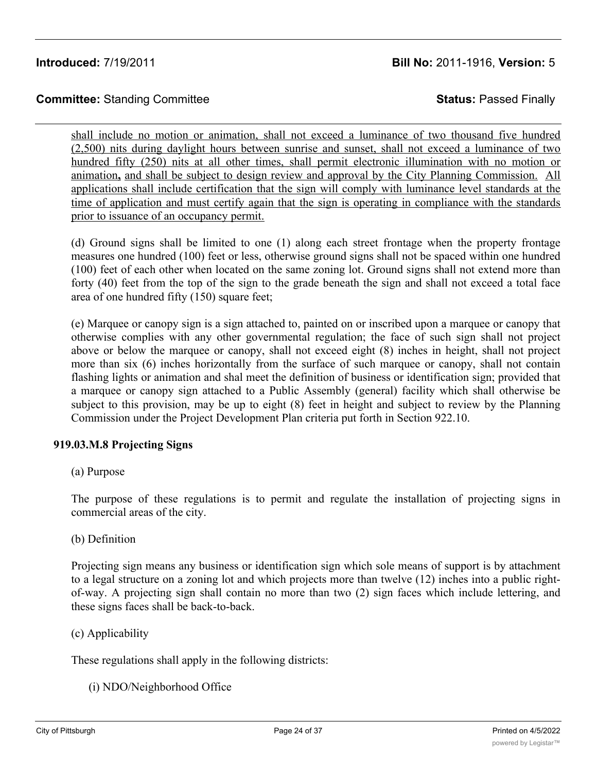# **Committee:** Standing Committee **Status:** Passed Finally

shall include no motion or animation, shall not exceed a luminance of two thousand five hundred (2,500) nits during daylight hours between sunrise and sunset, shall not exceed a luminance of two hundred fifty (250) nits at all other times, shall permit electronic illumination with no motion or animation**,** and shall be subject to design review and approval by the City Planning Commission. All applications shall include certification that the sign will comply with luminance level standards at the time of application and must certify again that the sign is operating in compliance with the standards prior to issuance of an occupancy permit.

(d) Ground signs shall be limited to one (1) along each street frontage when the property frontage measures one hundred (100) feet or less, otherwise ground signs shall not be spaced within one hundred (100) feet of each other when located on the same zoning lot. Ground signs shall not extend more than forty (40) feet from the top of the sign to the grade beneath the sign and shall not exceed a total face area of one hundred fifty (150) square feet;

(e) Marquee or canopy sign is a sign attached to, painted on or inscribed upon a marquee or canopy that otherwise complies with any other governmental regulation; the face of such sign shall not project above or below the marquee or canopy, shall not exceed eight (8) inches in height, shall not project more than six (6) inches horizontally from the surface of such marquee or canopy, shall not contain flashing lights or animation and shal meet the definition of business or identification sign; provided that a marquee or canopy sign attached to a Public Assembly (general) facility which shall otherwise be subject to this provision, may be up to eight (8) feet in height and subject to review by the Planning Commission under the Project Development Plan criteria put forth in Section 922.10.

## **919.03.M.8 Projecting Signs**

(a) Purpose

The purpose of these regulations is to permit and regulate the installation of projecting signs in commercial areas of the city.

(b) Definition

Projecting sign means any business or identification sign which sole means of support is by attachment to a legal structure on a zoning lot and which projects more than twelve (12) inches into a public rightof-way. A projecting sign shall contain no more than two (2) sign faces which include lettering, and these signs faces shall be back-to-back.

(c) Applicability

These regulations shall apply in the following districts:

(i) NDO/Neighborhood Office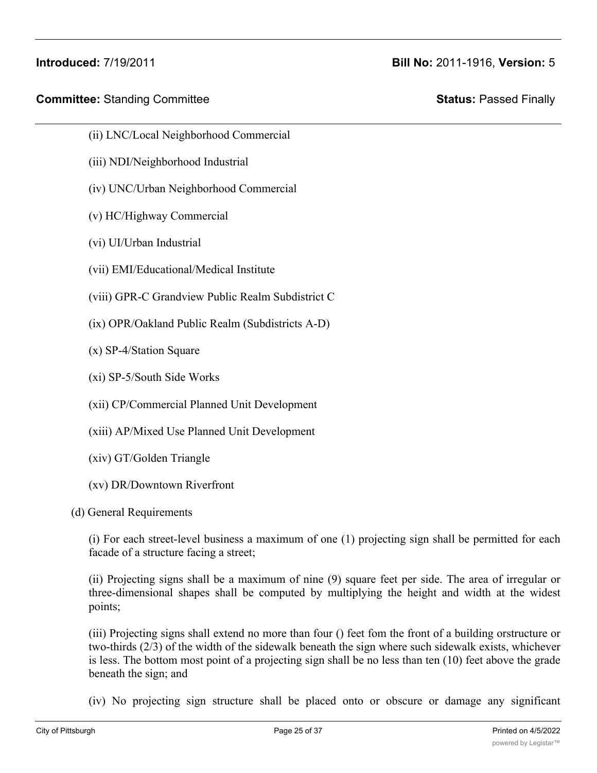- (ii) LNC/Local Neighborhood Commercial
- (iii) NDI/Neighborhood Industrial
- (iv) UNC/Urban Neighborhood Commercial
- (v) HC/Highway Commercial
- (vi) UI/Urban Industrial
- (vii) EMI/Educational/Medical Institute
- (viii) GPR-C Grandview Public Realm Subdistrict C
- (ix) OPR/Oakland Public Realm (Subdistricts A-D)
- (x) SP-4/Station Square
- (xi) SP-5/South Side Works
- (xii) CP/Commercial Planned Unit Development
- (xiii) AP/Mixed Use Planned Unit Development
- (xiv) GT/Golden Triangle
- (xv) DR/Downtown Riverfront
- (d) General Requirements

(i) For each street-level business a maximum of one (1) projecting sign shall be permitted for each facade of a structure facing a street;

(ii) Projecting signs shall be a maximum of nine (9) square feet per side. The area of irregular or three-dimensional shapes shall be computed by multiplying the height and width at the widest points;

(iii) Projecting signs shall extend no more than four () feet fom the front of a building orstructure or two-thirds (2/3) of the width of the sidewalk beneath the sign where such sidewalk exists, whichever is less. The bottom most point of a projecting sign shall be no less than ten (10) feet above the grade beneath the sign; and

(iv) No projecting sign structure shall be placed onto or obscure or damage any significant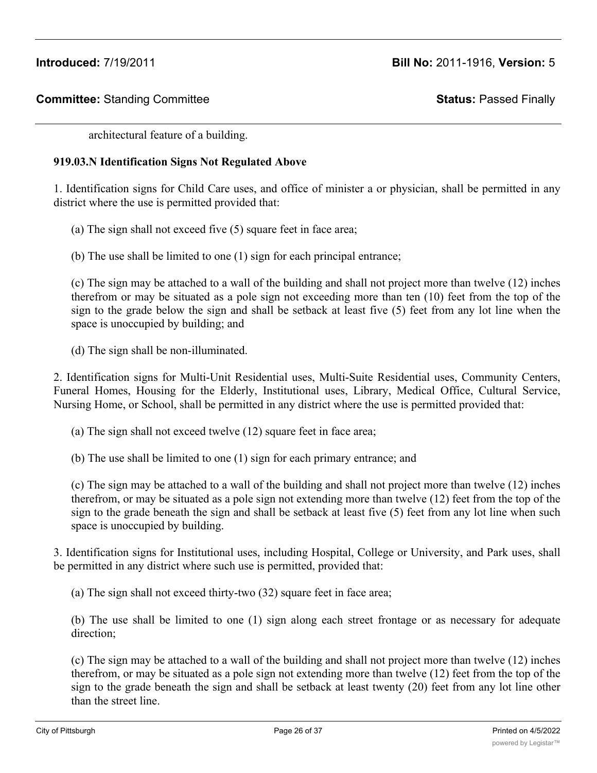architectural feature of a building.

# **919.03.N Identification Signs Not Regulated Above**

1. Identification signs for Child Care uses, and office of minister a or physician, shall be permitted in any district where the use is permitted provided that:

(a) The sign shall not exceed five (5) square feet in face area;

(b) The use shall be limited to one (1) sign for each principal entrance;

(c) The sign may be attached to a wall of the building and shall not project more than twelve (12) inches therefrom or may be situated as a pole sign not exceeding more than ten (10) feet from the top of the sign to the grade below the sign and shall be setback at least five (5) feet from any lot line when the space is unoccupied by building; and

(d) The sign shall be non-illuminated.

2. Identification signs for Multi-Unit Residential uses, Multi-Suite Residential uses, Community Centers, Funeral Homes, Housing for the Elderly, Institutional uses, Library, Medical Office, Cultural Service, Nursing Home, or School, shall be permitted in any district where the use is permitted provided that:

(a) The sign shall not exceed twelve (12) square feet in face area;

(b) The use shall be limited to one (1) sign for each primary entrance; and

(c) The sign may be attached to a wall of the building and shall not project more than twelve (12) inches therefrom, or may be situated as a pole sign not extending more than twelve (12) feet from the top of the sign to the grade beneath the sign and shall be setback at least five (5) feet from any lot line when such space is unoccupied by building.

3. Identification signs for Institutional uses, including Hospital, College or University, and Park uses, shall be permitted in any district where such use is permitted, provided that:

(a) The sign shall not exceed thirty-two (32) square feet in face area;

(b) The use shall be limited to one (1) sign along each street frontage or as necessary for adequate direction;

(c) The sign may be attached to a wall of the building and shall not project more than twelve (12) inches therefrom, or may be situated as a pole sign not extending more than twelve (12) feet from the top of the sign to the grade beneath the sign and shall be setback at least twenty (20) feet from any lot line other than the street line.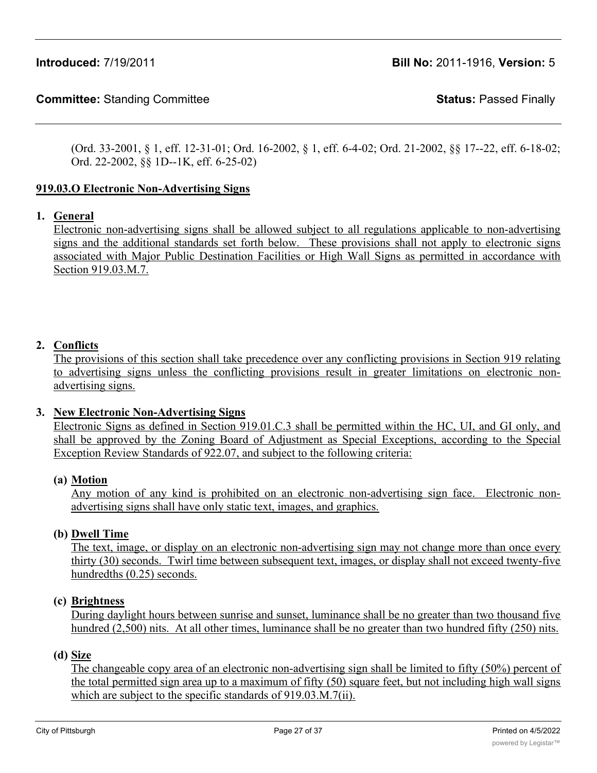(Ord. 33-2001, § 1, eff. 12-31-01; Ord. 16-2002, § 1, eff. 6-4-02; Ord. 21-2002, §§ 17--22, eff. 6-18-02; Ord. 22-2002, §§ 1D--1K, eff. 6-25-02)

# **919.03.O Electronic Non-Advertising Signs**

# **1. General**

Electronic non-advertising signs shall be allowed subject to all regulations applicable to non-advertising signs and the additional standards set forth below. These provisions shall not apply to electronic signs associated with Major Public Destination Facilities or High Wall Signs as permitted in accordance with Section 919.03.M.7.

# **2. Conflicts**

The provisions of this section shall take precedence over any conflicting provisions in Section 919 relating to advertising signs unless the conflicting provisions result in greater limitations on electronic nonadvertising signs.

## **3. New Electronic Non-Advertising Signs**

Electronic Signs as defined in Section 919.01.C.3 shall be permitted within the HC, UI, and GI only, and shall be approved by the Zoning Board of Adjustment as Special Exceptions, according to the Special Exception Review Standards of 922.07, and subject to the following criteria:

## **(a) Motion**

Any motion of any kind is prohibited on an electronic non-advertising sign face. Electronic nonadvertising signs shall have only static text, images, and graphics.

## **(b) Dwell Time**

The text, image, or display on an electronic non-advertising sign may not change more than once every thirty (30) seconds. Twirl time between subsequent text, images, or display shall not exceed twenty-five hundredths (0.25) seconds.

#### **(c) Brightness**

During daylight hours between sunrise and sunset, luminance shall be no greater than two thousand five hundred (2,500) nits. At all other times, luminance shall be no greater than two hundred fifty (250) nits.

#### **(d) Size**

The changeable copy area of an electronic non-advertising sign shall be limited to fifty (50%) percent of the total permitted sign area up to a maximum of fifty (50) square feet, but not including high wall signs which are subject to the specific standards of 919.03.M.7(ii).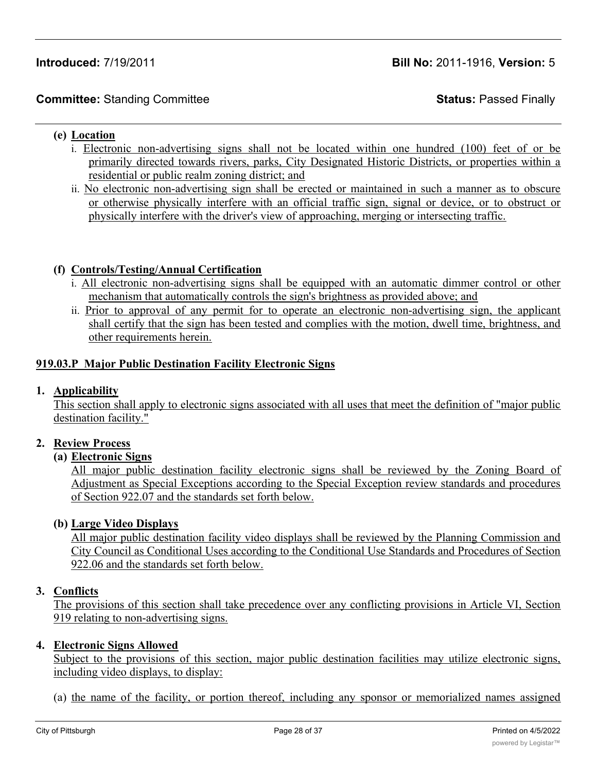# **Committee:** Standing Committee **Status:** Passed Finally

#### **(e) Location**

- i. Electronic non-advertising signs shall not be located within one hundred (100) feet of or be primarily directed towards rivers, parks, City Designated Historic Districts, or properties within a residential or public realm zoning district; and
- ii. No electronic non-advertising sign shall be erected or maintained in such a manner as to obscure or otherwise physically interfere with an official traffic sign, signal or device, or to obstruct or physically interfere with the driver's view of approaching, merging or intersecting traffic.

## **(f) Controls/Testing/Annual Certification**

- i. All electronic non-advertising signs shall be equipped with an automatic dimmer control or other mechanism that automatically controls the sign's brightness as provided above; and
- ii. Prior to approval of any permit for to operate an electronic non-advertising sign, the applicant shall certify that the sign has been tested and complies with the motion, dwell time, brightness, and other requirements herein.

#### **919.03.P Major Public Destination Facility Electronic Signs**

#### **1. Applicability**

This section shall apply to electronic signs associated with all uses that meet the definition of "major public destination facility."

#### **2. Review Process**

#### **(a) Electronic Signs**

All major public destination facility electronic signs shall be reviewed by the Zoning Board of Adjustment as Special Exceptions according to the Special Exception review standards and procedures of Section 922.07 and the standards set forth below.

#### **(b) Large Video Displays**

All major public destination facility video displays shall be reviewed by the Planning Commission and City Council as Conditional Uses according to the Conditional Use Standards and Procedures of Section 922.06 and the standards set forth below.

#### **3. Conflicts**

The provisions of this section shall take precedence over any conflicting provisions in Article VI, Section 919 relating to non-advertising signs.

#### **4. Electronic Signs Allowed**

Subject to the provisions of this section, major public destination facilities may utilize electronic signs, including video displays, to display:

(a) the name of the facility, or portion thereof, including any sponsor or memorialized names assigned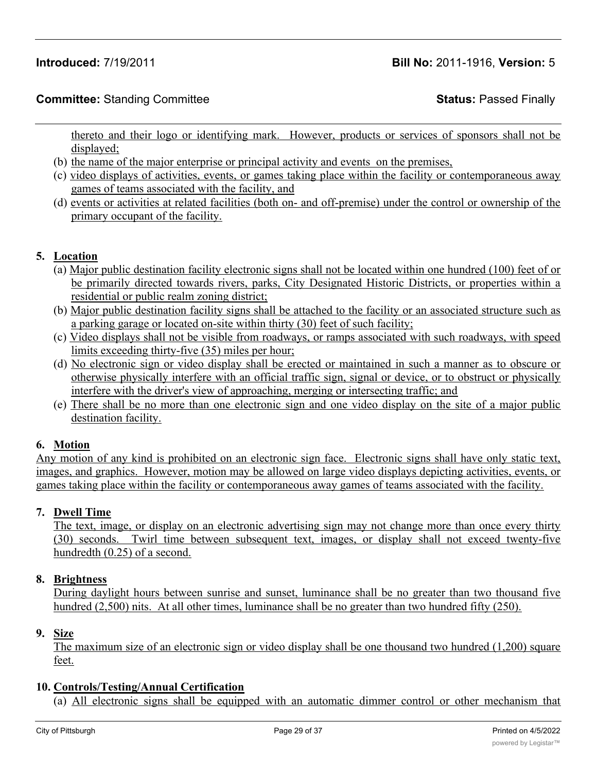thereto and their logo or identifying mark. However, products or services of sponsors shall not be displayed;

- (b) the name of the major enterprise or principal activity and events on the premises,
- (c) video displays of activities, events, or games taking place within the facility or contemporaneous away games of teams associated with the facility, and
- (d) events or activities at related facilities (both on- and off-premise) under the control or ownership of the primary occupant of the facility.

# **5. Location**

- (a) Major public destination facility electronic signs shall not be located within one hundred (100) feet of or be primarily directed towards rivers, parks, City Designated Historic Districts, or properties within a residential or public realm zoning district;
- (b) Major public destination facility signs shall be attached to the facility or an associated structure such as a parking garage or located on-site within thirty (30) feet of such facility;
- (c) Video displays shall not be visible from roadways, or ramps associated with such roadways, with speed limits exceeding thirty-five (35) miles per hour;
- (d) No electronic sign or video display shall be erected or maintained in such a manner as to obscure or otherwise physically interfere with an official traffic sign, signal or device, or to obstruct or physically interfere with the driver's view of approaching, merging or intersecting traffic; and
- (e) There shall be no more than one electronic sign and one video display on the site of a major public destination facility.

# **6. Motion**

Any motion of any kind is prohibited on an electronic sign face. Electronic signs shall have only static text, images, and graphics. However, motion may be allowed on large video displays depicting activities, events, or games taking place within the facility or contemporaneous away games of teams associated with the facility.

# **7. Dwell Time**

The text, image, or display on an electronic advertising sign may not change more than once every thirty (30) seconds. Twirl time between subsequent text, images, or display shall not exceed twenty-five hundredth (0.25) of a second.

## **8. Brightness**

During daylight hours between sunrise and sunset, luminance shall be no greater than two thousand five hundred (2,500) nits. At all other times, luminance shall be no greater than two hundred fifty (250).

# **9. Size**

The maximum size of an electronic sign or video display shall be one thousand two hundred (1,200) square feet.

## **10. Controls/Testing/Annual Certification**

(a) All electronic signs shall be equipped with an automatic dimmer control or other mechanism that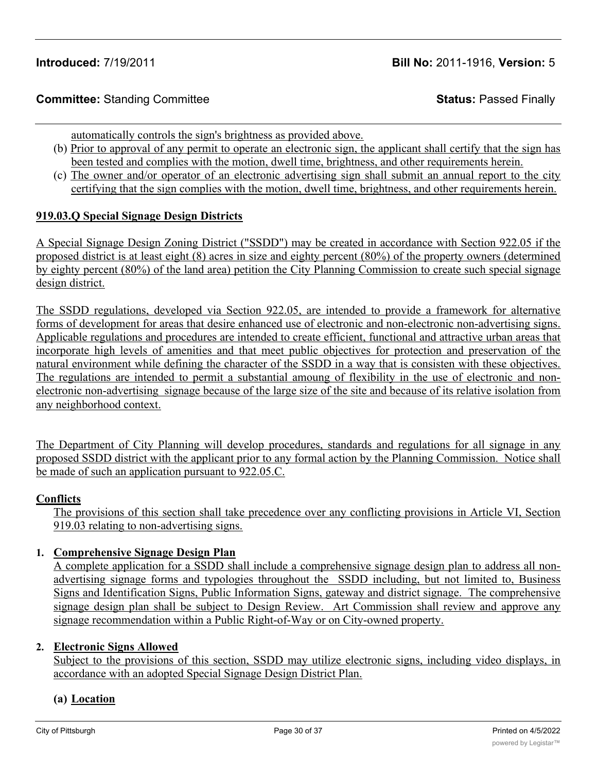automatically controls the sign's brightness as provided above.

- (b) Prior to approval of any permit to operate an electronic sign, the applicant shall certify that the sign has been tested and complies with the motion, dwell time, brightness, and other requirements herein.
- (c) The owner and/or operator of an electronic advertising sign shall submit an annual report to the city certifying that the sign complies with the motion, dwell time, brightness, and other requirements herein.

# **919.03.Q Special Signage Design Districts**

A Special Signage Design Zoning District ("SSDD") may be created in accordance with Section 922.05 if the proposed district is at least eight (8) acres in size and eighty percent (80%) of the property owners (determined by eighty percent (80%) of the land area) petition the City Planning Commission to create such special signage design district.

The SSDD regulations, developed via Section 922.05, are intended to provide a framework for alternative forms of development for areas that desire enhanced use of electronic and non-electronic non-advertising signs. Applicable regulations and procedures are intended to create efficient, functional and attractive urban areas that incorporate high levels of amenities and that meet public objectives for protection and preservation of the natural environment while defining the character of the SSDD in a way that is consisten with these objectives. The regulations are intended to permit a substantial amoung of flexibility in the use of electronic and nonelectronic non-advertising signage because of the large size of the site and because of its relative isolation from any neighborhood context.

The Department of City Planning will develop procedures, standards and regulations for all signage in any proposed SSDD district with the applicant prior to any formal action by the Planning Commission. Notice shall be made of such an application pursuant to 922.05.C.

## **Conflicts**

The provisions of this section shall take precedence over any conflicting provisions in Article VI, Section 919.03 relating to non-advertising signs.

# **1. Comprehensive Signage Design Plan**

A complete application for a SSDD shall include a comprehensive signage design plan to address all nonadvertising signage forms and typologies throughout the SSDD including, but not limited to, Business Signs and Identification Signs, Public Information Signs, gateway and district signage. The comprehensive signage design plan shall be subject to Design Review. Art Commission shall review and approve any signage recommendation within a Public Right-of-Way or on City-owned property.

## **2. Electronic Signs Allowed**

Subject to the provisions of this section, SSDD may utilize electronic signs, including video displays, in accordance with an adopted Special Signage Design District Plan.

## **(a) Location**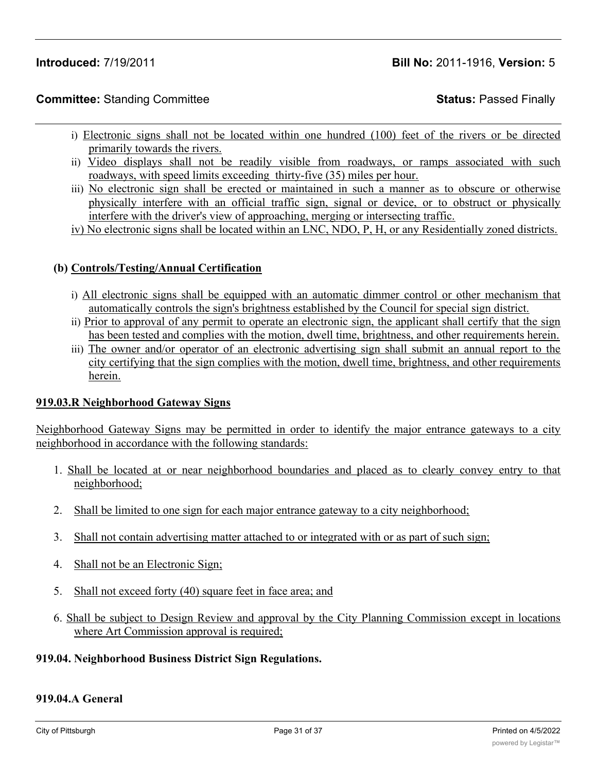# **Committee:** Standing Committee **Status:** Passed Finally

- i) Electronic signs shall not be located within one hundred (100) feet of the rivers or be directed primarily towards the rivers.
- ii) Video displays shall not be readily visible from roadways, or ramps associated with such roadways, with speed limits exceeding thirty-five (35) miles per hour.
- iii) No electronic sign shall be erected or maintained in such a manner as to obscure or otherwise physically interfere with an official traffic sign, signal or device, or to obstruct or physically interfere with the driver's view of approaching, merging or intersecting traffic.
- iv) No electronic signs shall be located within an LNC, NDO, P, H, or any Residentially zoned districts.

## **(b) Controls/Testing/Annual Certification**

- i) All electronic signs shall be equipped with an automatic dimmer control or other mechanism that automatically controls the sign's brightness established by the Council for special sign district.
- ii) Prior to approval of any permit to operate an electronic sign, the applicant shall certify that the sign has been tested and complies with the motion, dwell time, brightness, and other requirements herein.
- iii) The owner and/or operator of an electronic advertising sign shall submit an annual report to the city certifying that the sign complies with the motion, dwell time, brightness, and other requirements herein.

## **919.03.R Neighborhood Gateway Signs**

Neighborhood Gateway Signs may be permitted in order to identify the major entrance gateways to a city neighborhood in accordance with the following standards:

- 1. Shall be located at or near neighborhood boundaries and placed as to clearly convey entry to that neighborhood;
- 2. Shall be limited to one sign for each major entrance gateway to a city neighborhood;
- 3. Shall not contain advertising matter attached to or integrated with or as part of such sign;
- 4. Shall not be an Electronic Sign;
- 5. Shall not exceed forty (40) square feet in face area; and
- 6. Shall be subject to Design Review and approval by the City Planning Commission except in locations where Art Commission approval is required;

#### **919.04. Neighborhood Business District Sign Regulations.**

#### **919.04.A General**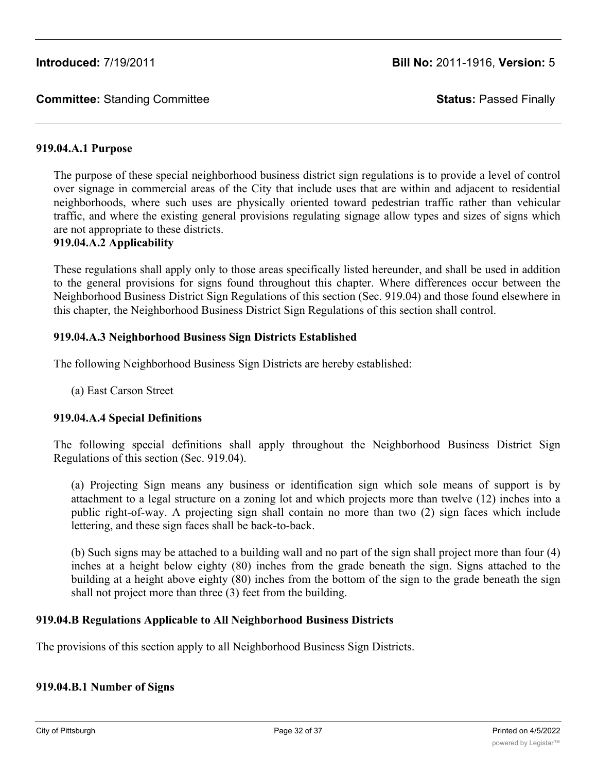## **919.04.A.1 Purpose**

The purpose of these special neighborhood business district sign regulations is to provide a level of control over signage in commercial areas of the City that include uses that are within and adjacent to residential neighborhoods, where such uses are physically oriented toward pedestrian traffic rather than vehicular traffic, and where the existing general provisions regulating signage allow types and sizes of signs which are not appropriate to these districts.

# **919.04.A.2 Applicability**

These regulations shall apply only to those areas specifically listed hereunder, and shall be used in addition to the general provisions for signs found throughout this chapter. Where differences occur between the Neighborhood Business District Sign Regulations of this section (Sec. 919.04) and those found elsewhere in this chapter, the Neighborhood Business District Sign Regulations of this section shall control.

#### **919.04.A.3 Neighborhood Business Sign Districts Established**

The following Neighborhood Business Sign Districts are hereby established:

(a) East Carson Street

## **919.04.A.4 Special Definitions**

The following special definitions shall apply throughout the Neighborhood Business District Sign Regulations of this section (Sec. 919.04).

(a) Projecting Sign means any business or identification sign which sole means of support is by attachment to a legal structure on a zoning lot and which projects more than twelve (12) inches into a public right-of-way. A projecting sign shall contain no more than two (2) sign faces which include lettering, and these sign faces shall be back-to-back.

(b) Such signs may be attached to a building wall and no part of the sign shall project more than four (4) inches at a height below eighty (80) inches from the grade beneath the sign. Signs attached to the building at a height above eighty (80) inches from the bottom of the sign to the grade beneath the sign shall not project more than three (3) feet from the building.

## **919.04.B Regulations Applicable to All Neighborhood Business Districts**

The provisions of this section apply to all Neighborhood Business Sign Districts.

## **919.04.B.1 Number of Signs**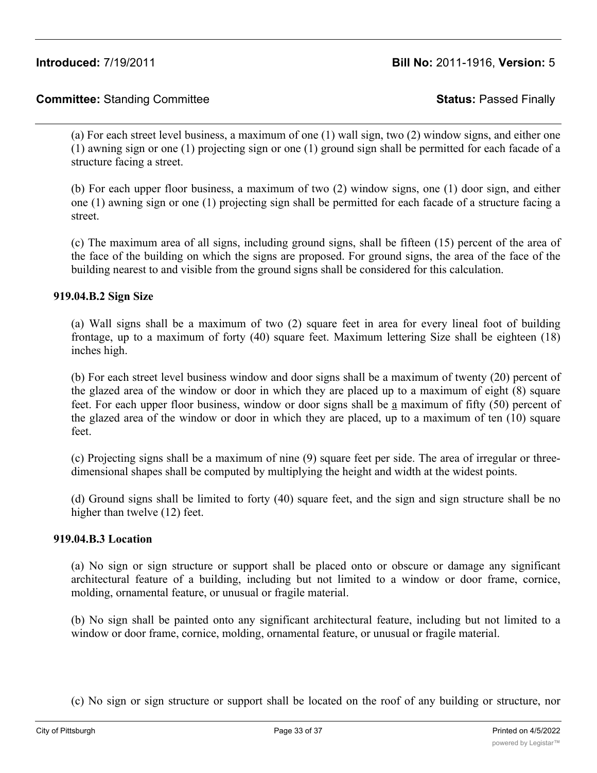# **Committee:** Standing Committee **Status:** Passed Finally

(a) For each street level business, a maximum of one (1) wall sign, two (2) window signs, and either one (1) awning sign or one (1) projecting sign or one (1) ground sign shall be permitted for each facade of a structure facing a street.

(b) For each upper floor business, a maximum of two (2) window signs, one (1) door sign, and either one (1) awning sign or one (1) projecting sign shall be permitted for each facade of a structure facing a street.

(c) The maximum area of all signs, including ground signs, shall be fifteen (15) percent of the area of the face of the building on which the signs are proposed. For ground signs, the area of the face of the building nearest to and visible from the ground signs shall be considered for this calculation.

#### **919.04.B.2 Sign Size**

(a) Wall signs shall be a maximum of two (2) square feet in area for every lineal foot of building frontage, up to a maximum of forty (40) square feet. Maximum lettering Size shall be eighteen (18) inches high.

(b) For each street level business window and door signs shall be a maximum of twenty (20) percent of the glazed area of the window or door in which they are placed up to a maximum of eight (8) square feet. For each upper floor business, window or door signs shall be a maximum of fifty (50) percent of the glazed area of the window or door in which they are placed, up to a maximum of ten (10) square feet.

(c) Projecting signs shall be a maximum of nine (9) square feet per side. The area of irregular or threedimensional shapes shall be computed by multiplying the height and width at the widest points.

(d) Ground signs shall be limited to forty (40) square feet, and the sign and sign structure shall be no higher than twelve (12) feet.

#### **919.04.B.3 Location**

(a) No sign or sign structure or support shall be placed onto or obscure or damage any significant architectural feature of a building, including but not limited to a window or door frame, cornice, molding, ornamental feature, or unusual or fragile material.

(b) No sign shall be painted onto any significant architectural feature, including but not limited to a window or door frame, cornice, molding, ornamental feature, or unusual or fragile material.

(c) No sign or sign structure or support shall be located on the roof of any building or structure, nor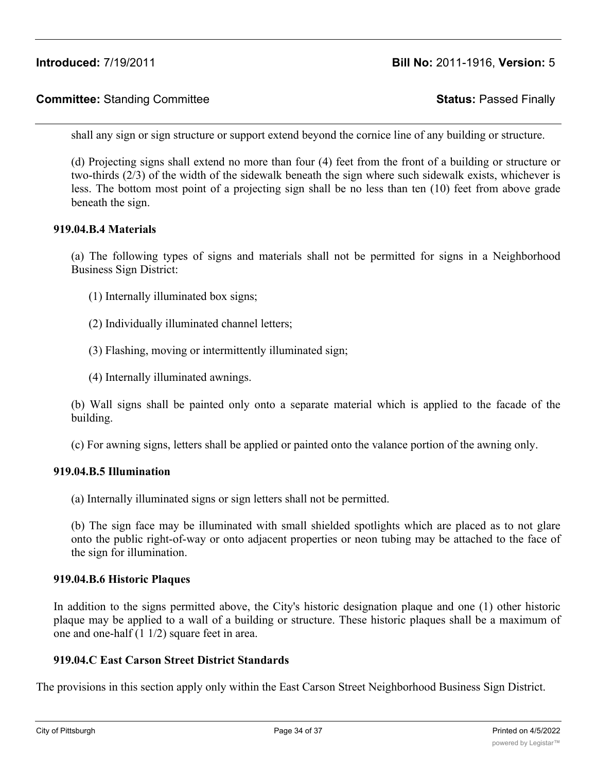# **Committee:** Standing Committee **Status:** Passed Finally

shall any sign or sign structure or support extend beyond the cornice line of any building or structure.

(d) Projecting signs shall extend no more than four (4) feet from the front of a building or structure or two-thirds (2/3) of the width of the sidewalk beneath the sign where such sidewalk exists, whichever is less. The bottom most point of a projecting sign shall be no less than ten (10) feet from above grade beneath the sign.

#### **919.04.B.4 Materials**

(a) The following types of signs and materials shall not be permitted for signs in a Neighborhood Business Sign District:

- (1) Internally illuminated box signs;
- (2) Individually illuminated channel letters;
- (3) Flashing, moving or intermittently illuminated sign;
- (4) Internally illuminated awnings.

(b) Wall signs shall be painted only onto a separate material which is applied to the facade of the building.

(c) For awning signs, letters shall be applied or painted onto the valance portion of the awning only.

#### **919.04.B.5 Illumination**

(a) Internally illuminated signs or sign letters shall not be permitted.

(b) The sign face may be illuminated with small shielded spotlights which are placed as to not glare onto the public right-of-way or onto adjacent properties or neon tubing may be attached to the face of the sign for illumination.

#### **919.04.B.6 Historic Plaques**

In addition to the signs permitted above, the City's historic designation plaque and one (1) other historic plaque may be applied to a wall of a building or structure. These historic plaques shall be a maximum of one and one-half (1 1/2) square feet in area.

#### **919.04.C East Carson Street District Standards**

The provisions in this section apply only within the East Carson Street Neighborhood Business Sign District.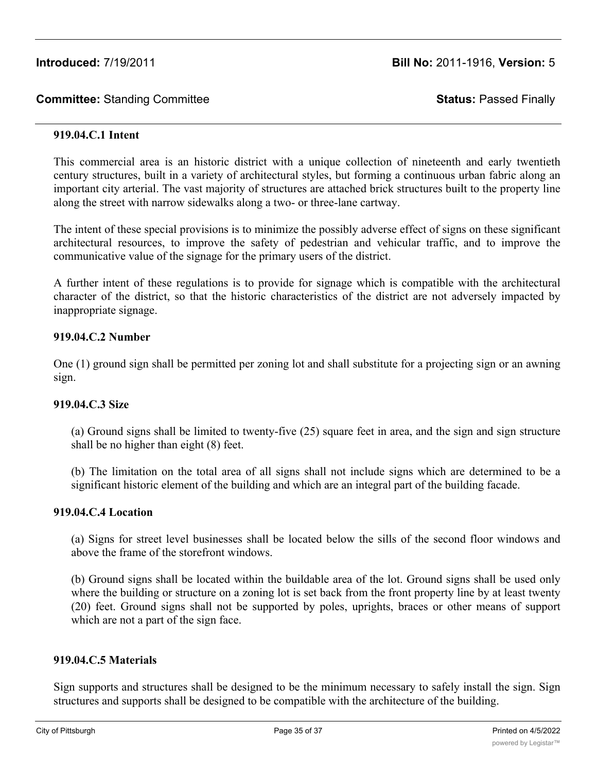#### **919.04.C.1 Intent**

This commercial area is an historic district with a unique collection of nineteenth and early twentieth century structures, built in a variety of architectural styles, but forming a continuous urban fabric along an important city arterial. The vast majority of structures are attached brick structures built to the property line along the street with narrow sidewalks along a two- or three-lane cartway.

The intent of these special provisions is to minimize the possibly adverse effect of signs on these significant architectural resources, to improve the safety of pedestrian and vehicular traffic, and to improve the communicative value of the signage for the primary users of the district.

A further intent of these regulations is to provide for signage which is compatible with the architectural character of the district, so that the historic characteristics of the district are not adversely impacted by inappropriate signage.

#### **919.04.C.2 Number**

One (1) ground sign shall be permitted per zoning lot and shall substitute for a projecting sign or an awning sign.

#### **919.04.C.3 Size**

(a) Ground signs shall be limited to twenty-five (25) square feet in area, and the sign and sign structure shall be no higher than eight (8) feet.

(b) The limitation on the total area of all signs shall not include signs which are determined to be a significant historic element of the building and which are an integral part of the building facade.

## **919.04.C.4 Location**

(a) Signs for street level businesses shall be located below the sills of the second floor windows and above the frame of the storefront windows.

(b) Ground signs shall be located within the buildable area of the lot. Ground signs shall be used only where the building or structure on a zoning lot is set back from the front property line by at least twenty (20) feet. Ground signs shall not be supported by poles, uprights, braces or other means of support which are not a part of the sign face.

## **919.04.C.5 Materials**

Sign supports and structures shall be designed to be the minimum necessary to safely install the sign. Sign structures and supports shall be designed to be compatible with the architecture of the building.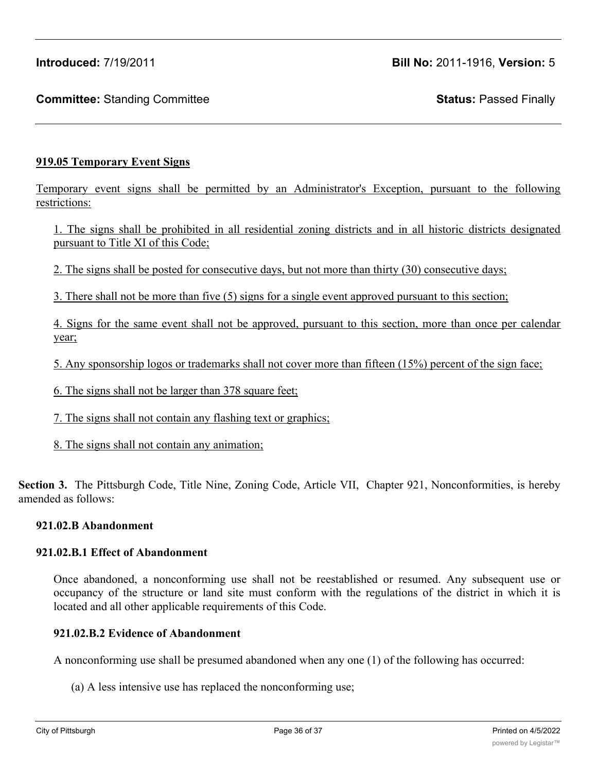# **919.05 Temporary Event Signs**

Temporary event signs shall be permitted by an Administrator's Exception, pursuant to the following restrictions:

1. The signs shall be prohibited in all residential zoning districts and in all historic districts designated pursuant to Title XI of this Code;

2. The signs shall be posted for consecutive days, but not more than thirty (30) consecutive days;

3. There shall not be more than five (5) signs for a single event approved pursuant to this section;

4. Signs for the same event shall not be approved, pursuant to this section, more than once per calendar year;

5. Any sponsorship logos or trademarks shall not cover more than fifteen (15%) percent of the sign face;

6. The signs shall not be larger than 378 square feet;

7. The signs shall not contain any flashing text or graphics;

8. The signs shall not contain any animation;

**Section 3.** The Pittsburgh Code, Title Nine, Zoning Code, Article VII, Chapter 921, Nonconformities, is hereby amended as follows:

#### **921.02.B Abandonment**

## **921.02.B.1 Effect of Abandonment**

Once abandoned, a nonconforming use shall not be reestablished or resumed. Any subsequent use or occupancy of the structure or land site must conform with the regulations of the district in which it is located and all other applicable requirements of this Code.

## **921.02.B.2 Evidence of Abandonment**

A nonconforming use shall be presumed abandoned when any one (1) of the following has occurred:

(a) A less intensive use has replaced the nonconforming use;